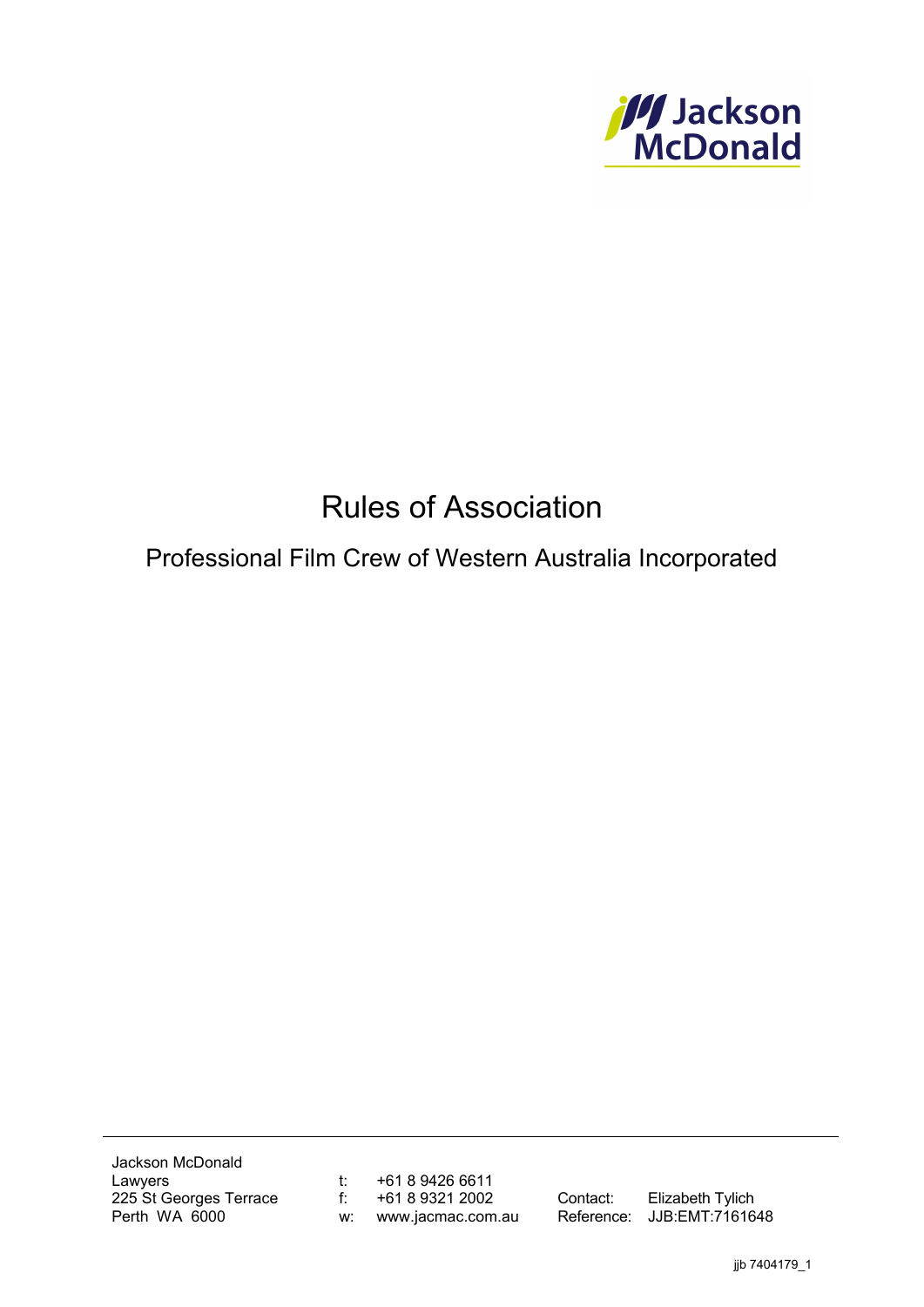

# Rules of Association

Professional Film Crew of Western Australia Incorporated

Jackson McDonald Lawyers 225 St Georges Terrace Perth WA 6000

t: +61 8 9426 6611 f:  $+61893212002$ w: www.jacmac.com.au

Contact: Elizabeth Tylich Reference: JJB:EMT:7161648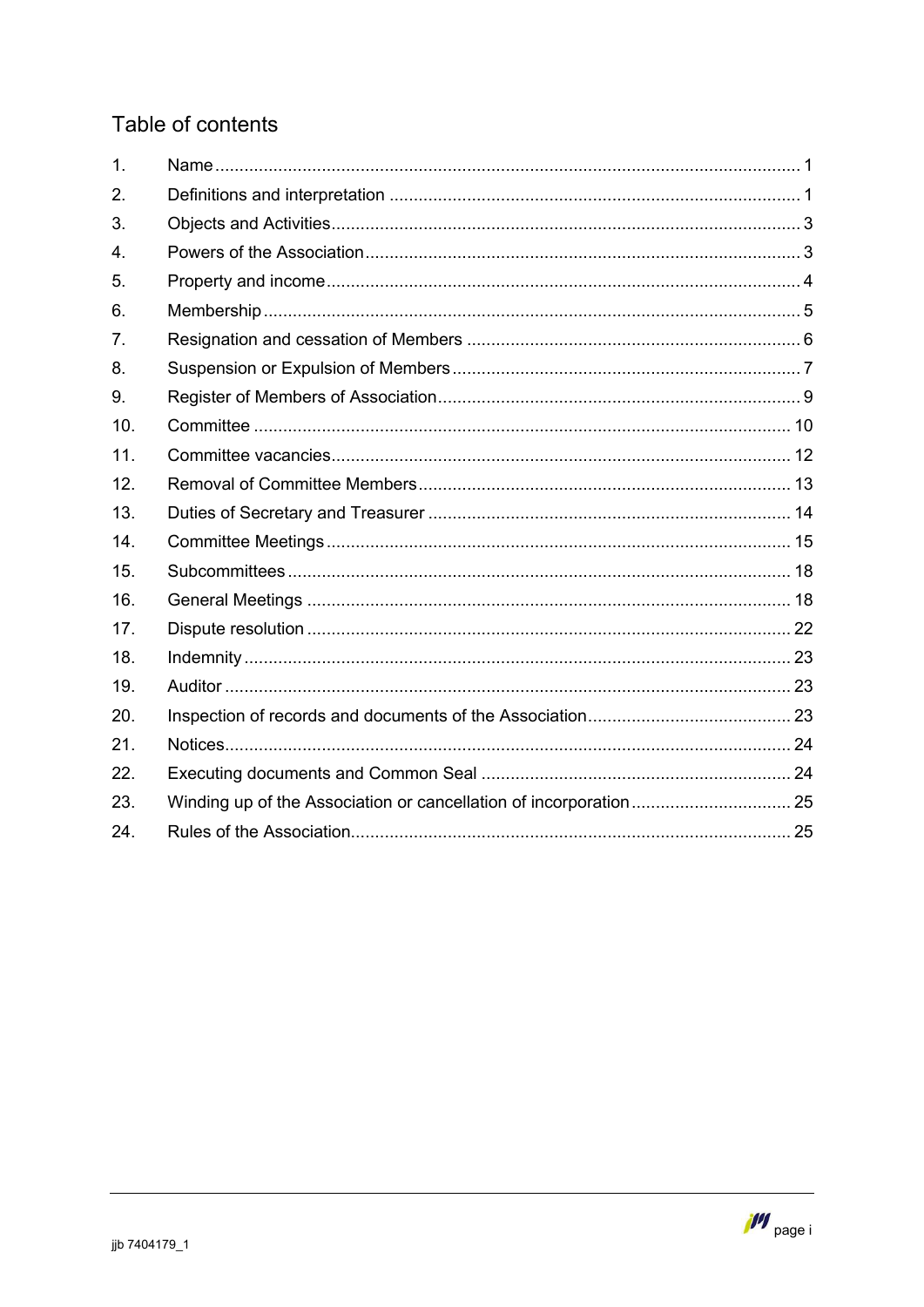# Table of contents

| 1.  |  |
|-----|--|
| 2.  |  |
| 3.  |  |
| 4.  |  |
| 5.  |  |
| 6.  |  |
| 7.  |  |
| 8.  |  |
| 9.  |  |
| 10. |  |
| 11. |  |
| 12. |  |
| 13. |  |
| 14. |  |
| 15. |  |
| 16. |  |
| 17. |  |
| 18. |  |
| 19. |  |
| 20. |  |
| 21. |  |
| 22. |  |
| 23. |  |
| 24. |  |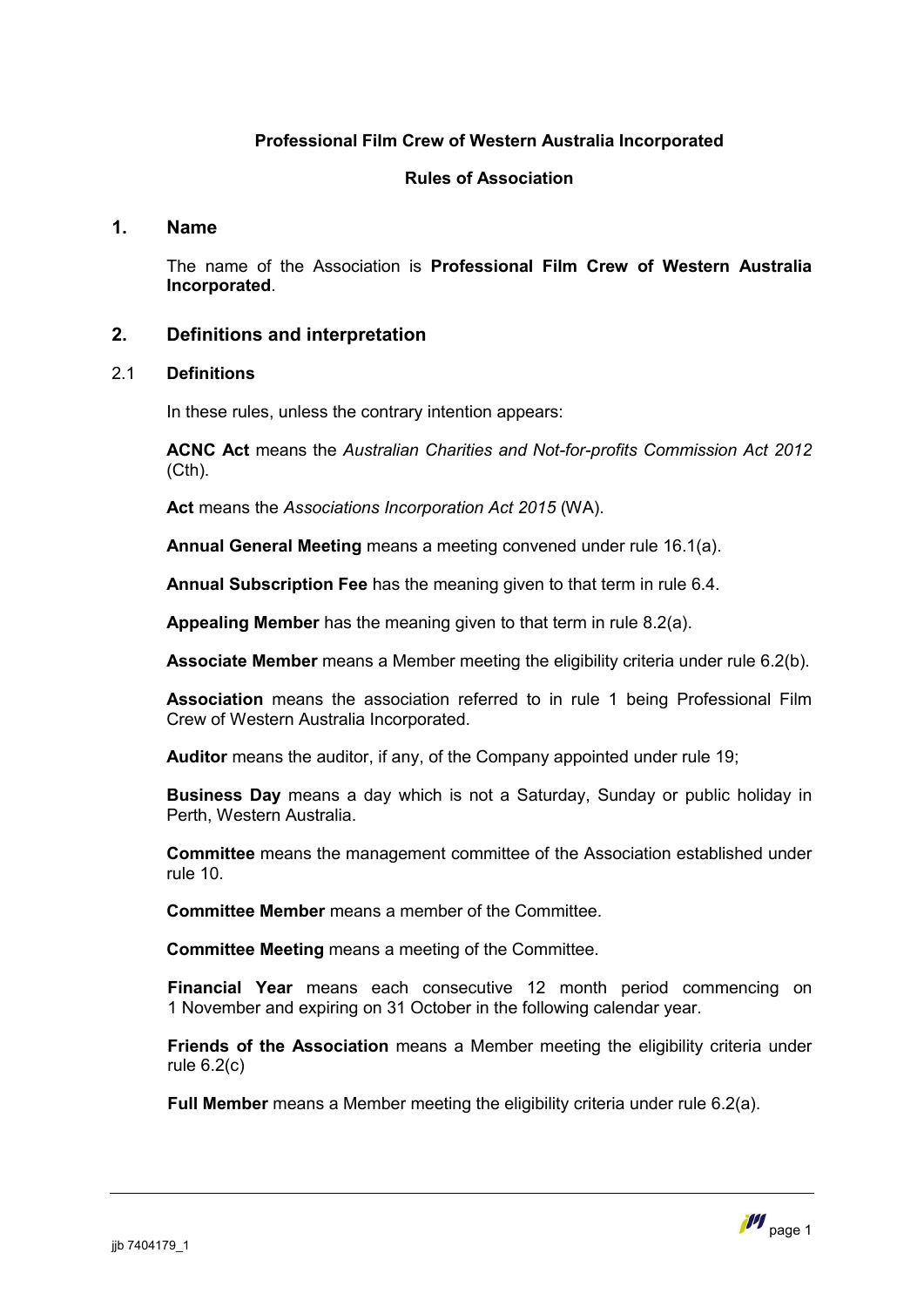# **Professional Film Crew of Western Australia Incorporated**

# **Rules of Association**

# **1. Name**

<span id="page-2-0"></span>The name of the Association is **Professional Film Crew of Western Australia Incorporated**.

# <span id="page-2-1"></span>**2. Definitions and interpretation**

# 2.1 **Definitions**

In these rules, unless the contrary intention appears:

**ACNC Act** means the *Australian Charities and Not-for-profits Commission Act 2012* (Cth).

**Act** means the *Associations Incorporation Act 2015* (WA).

**Annual General Meeting** means a meeting convened under rule [16.1\(a\)](#page-19-2).

**Annual Subscription Fee** has the meaning given to that term in rule [6.4](#page-7-1).

**Appealing Member** has the meaning given to that term in rule [8.2\(a\)](#page-9-0).

**Associate Member** means a Member meeting the eligibility criteria under rule [6.2\(b\)](#page-6-1).

**Association** means the association referred to in rule [1](#page-2-0) being Professional Film Crew of Western Australia Incorporated.

**Auditor** means the auditor, if any, of the Company appointed under rule [19](#page-24-1);

**Business Day** means a day which is not a Saturday, Sunday or public holiday in Perth, Western Australia.

**Committee** means the management committee of the Association established under rule [10](#page-11-0).

**Committee Member** means a member of the Committee.

**Committee Meeting** means a meeting of the Committee.

**Financial Year** means each consecutive 12 month period commencing on 1 November and expiring on 31 October in the following calendar year.

**Friends of the Association** means a Member meeting the eligibility criteria under rule  $6.2(c)$ 

**Full Member** means a Member meeting the eligibility criteria under rule [6.2\(a\)](#page-6-3).

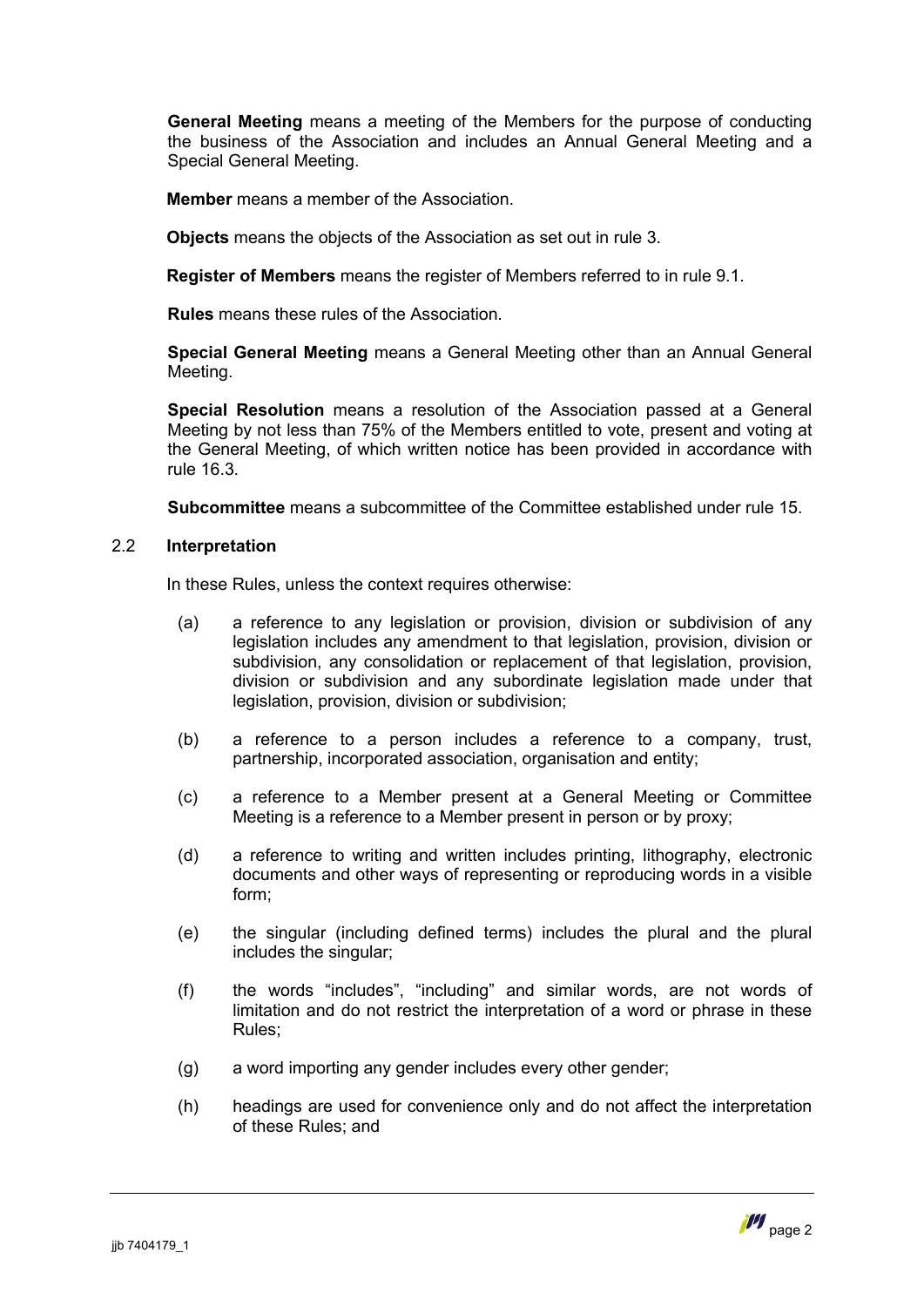**General Meeting** means a meeting of the Members for the purpose of conducting the business of the Association and includes an Annual General Meeting and a Special General Meeting.

**Member** means a member of the Association.

**Objects** means the objects of the Association as set out in rule [3](#page-4-0).

**Register of Members** means the register of Members referred to in rule [9.1](#page-10-1).

**Rules** means these rules of the Association.

**Special General Meeting** means a General Meeting other than an Annual General Meeting.

**Special Resolution** means a resolution of the Association passed at a General Meeting by not less than 75% of the Members entitled to vote, present and voting at the General Meeting, of which written notice has been provided in accordance with rule [16.3](#page-20-0).

**Subcommittee** means a subcommittee of the Committee established under rule [15](#page-19-0).

#### 2.2 **Interpretation**

In these Rules, unless the context requires otherwise:

- (a) a reference to any legislation or provision, division or subdivision of any legislation includes any amendment to that legislation, provision, division or subdivision, any consolidation or replacement of that legislation, provision, division or subdivision and any subordinate legislation made under that legislation, provision, division or subdivision;
- (b) a reference to a person includes a reference to a company, trust, partnership, incorporated association, organisation and entity;
- (c) a reference to a Member present at a General Meeting or Committee Meeting is a reference to a Member present in person or by proxy;
- (d) a reference to writing and written includes printing, lithography, electronic documents and other ways of representing or reproducing words in a visible form;
- (e) the singular (including defined terms) includes the plural and the plural includes the singular;
- (f) the words "includes", "including" and similar words, are not words of limitation and do not restrict the interpretation of a word or phrase in these Rules;
- (g) a word importing any gender includes every other gender;
- (h) headings are used for convenience only and do not affect the interpretation of these Rules; and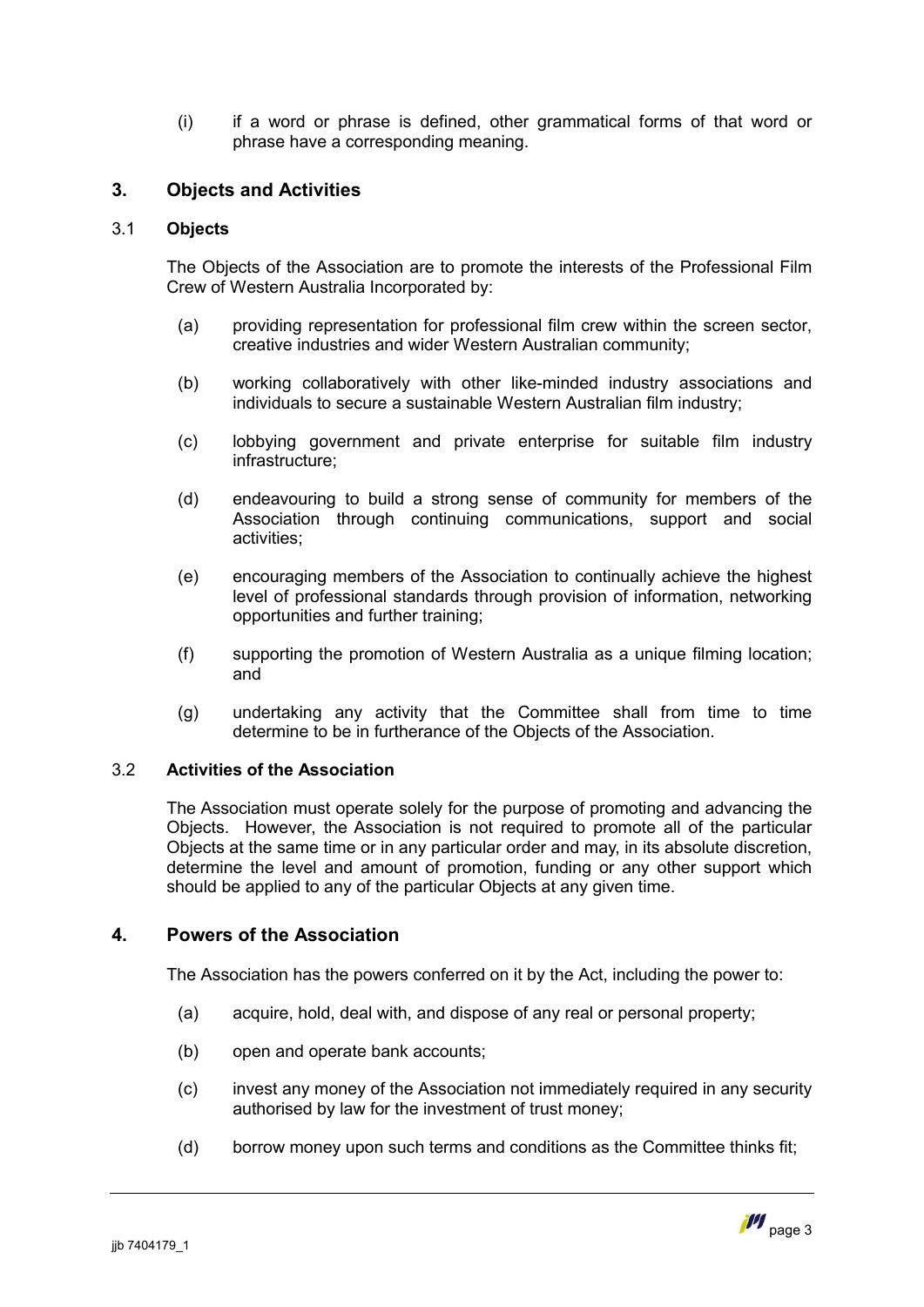(i) if a word or phrase is defined, other grammatical forms of that word or phrase have a corresponding meaning.

# <span id="page-4-0"></span>**3. Objects and Activities**

# 3.1 **Objects**

The Objects of the Association are to promote the interests of the Professional Film Crew of Western Australia Incorporated by:

- (a) providing representation for professional film crew within the screen sector, creative industries and wider Western Australian community;
- (b) working collaboratively with other like-minded industry associations and individuals to secure a sustainable Western Australian film industry;
- (c) lobbying government and private enterprise for suitable film industry infrastructure;
- (d) endeavouring to build a strong sense of community for members of the Association through continuing communications, support and social activities;
- (e) encouraging members of the Association to continually achieve the highest level of professional standards through provision of information, networking opportunities and further training;
- (f) supporting the promotion of Western Australia as a unique filming location; and
- (g) undertaking any activity that the Committee shall from time to time determine to be in furtherance of the Objects of the Association.

# 3.2 **Activities of the Association**

The Association must operate solely for the purpose of promoting and advancing the Objects. However, the Association is not required to promote all of the particular Objects at the same time or in any particular order and may, in its absolute discretion, determine the level and amount of promotion, funding or any other support which should be applied to any of the particular Objects at any given time.

# **4. Powers of the Association**

<span id="page-4-1"></span>The Association has the powers conferred on it by the Act, including the power to:

- (a) acquire, hold, deal with, and dispose of any real or personal property;
- (b) open and operate bank accounts;
- (c) invest any money of the Association not immediately required in any security authorised by law for the investment of trust money;
- (d) borrow money upon such terms and conditions as the Committee thinks fit;

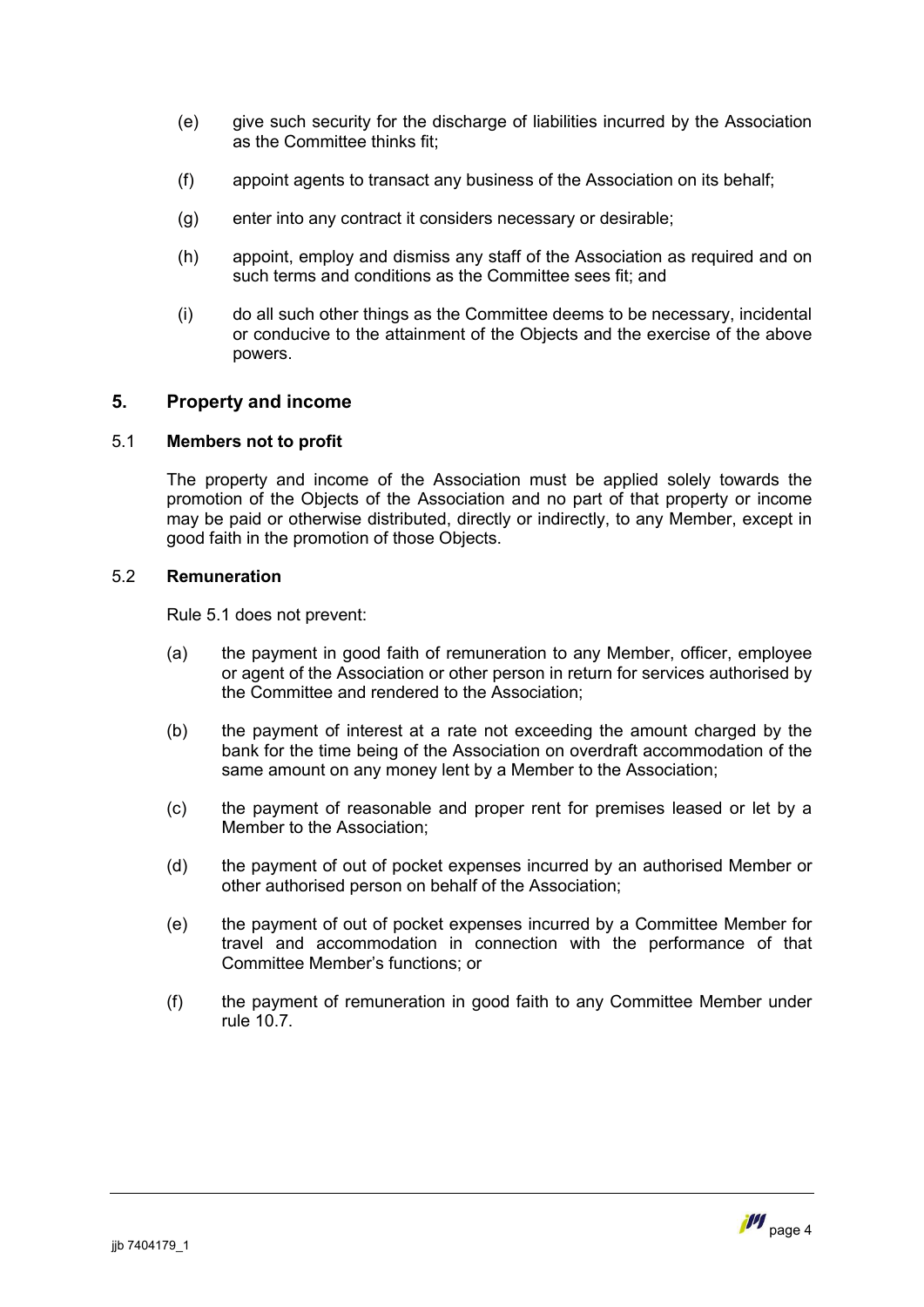- (e) give such security for the discharge of liabilities incurred by the Association as the Committee thinks fit;
- (f) appoint agents to transact any business of the Association on its behalf;
- (g) enter into any contract it considers necessary or desirable;
- (h) appoint, employ and dismiss any staff of the Association as required and on such terms and conditions as the Committee sees fit; and
- (i) do all such other things as the Committee deems to be necessary, incidental or conducive to the attainment of the Objects and the exercise of the above powers.

# <span id="page-5-0"></span>**5. Property and income**

# 5.1 **Members not to profit**

<span id="page-5-1"></span>The property and income of the Association must be applied solely towards the promotion of the Objects of the Association and no part of that property or income may be paid or otherwise distributed, directly or indirectly, to any Member, except in good faith in the promotion of those Objects.

# 5.2 **Remuneration**

Rule [5.1](#page-5-1) does not prevent:

- (a) the payment in good faith of remuneration to any Member, officer, employee or agent of the Association or other person in return for services authorised by the Committee and rendered to the Association;
- (b) the payment of interest at a rate not exceeding the amount charged by the bank for the time being of the Association on overdraft accommodation of the same amount on any money lent by a Member to the Association;
- (c) the payment of reasonable and proper rent for premises leased or let by a Member to the Association;
- (d) the payment of out of pocket expenses incurred by an authorised Member or other authorised person on behalf of the Association;
- (e) the payment of out of pocket expenses incurred by a Committee Member for travel and accommodation in connection with the performance of that Committee Member's functions; or
- (f) the payment of remuneration in good faith to any Committee Member under rule [10.7](#page-13-1).

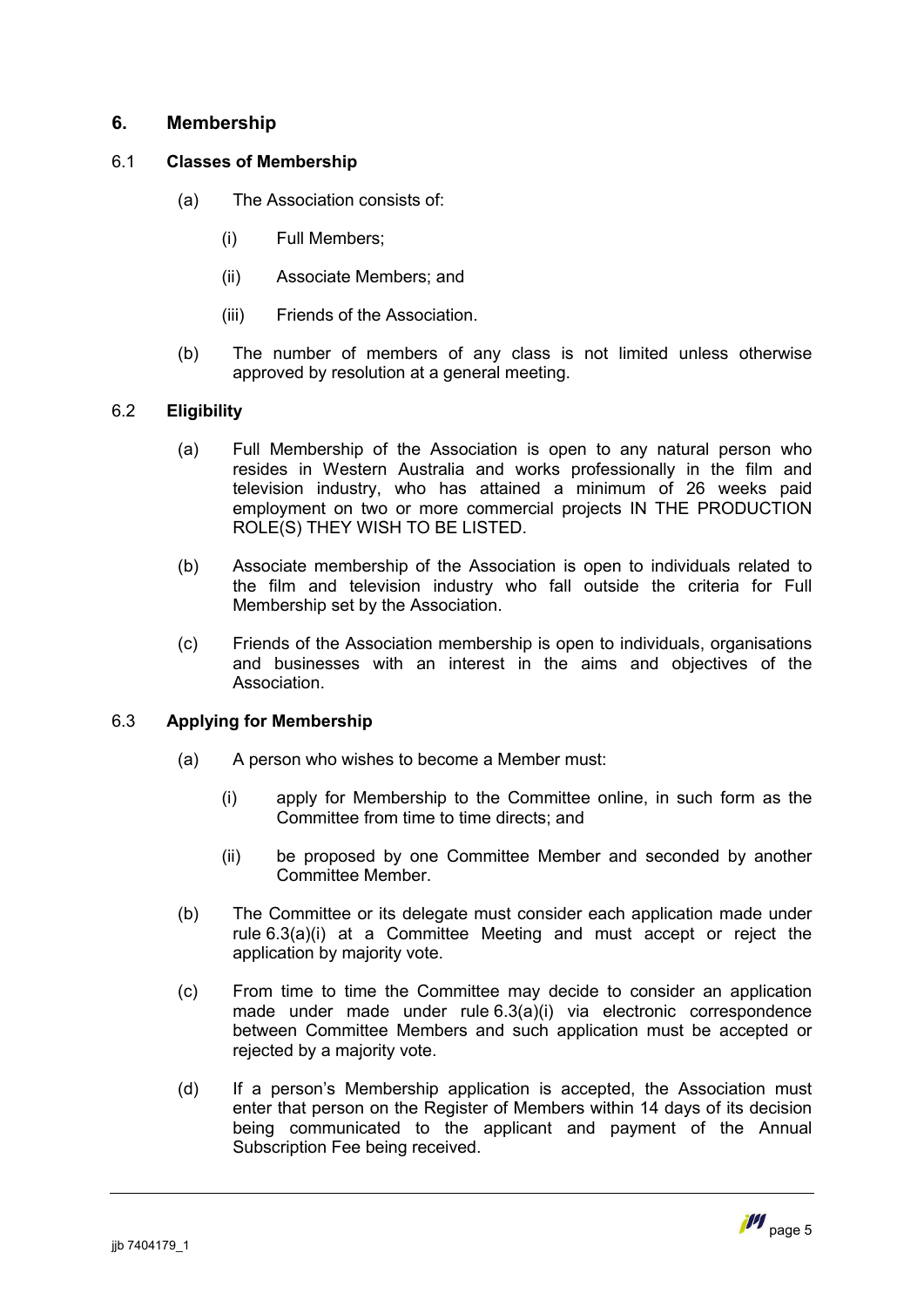# <span id="page-6-0"></span>**6. Membership**

# 6.1 **Classes of Membership**

- (a) The Association consists of:
	- (i) Full Members;
	- (ii) Associate Members; and
	- (iii) Friends of the Association.
- (b) The number of members of any class is not limited unless otherwise approved by resolution at a general meeting.

# 6.2 **Eligibility**

- <span id="page-6-3"></span>(a) Full Membership of the Association is open to any natural person who resides in Western Australia and works professionally in the film and television industry, who has attained a minimum of 26 weeks paid employment on two or more commercial projects IN THE PRODUCTION ROLE(S) THEY WISH TO BE LISTED.
- <span id="page-6-1"></span>(b) Associate membership of the Association is open to individuals related to the film and television industry who fall outside the criteria for Full Membership set by the Association.
- <span id="page-6-2"></span>(c) Friends of the Association membership is open to individuals, organisations and businesses with an interest in the aims and objectives of the Association.

# 6.3 **Applying for Membership**

- <span id="page-6-4"></span>(a) A person who wishes to become a Member must:
	- (i) apply for Membership to the Committee online, in such form as the Committee from time to time directs; and
	- (ii) be proposed by one Committee Member and seconded by another Committee Member.
- (b) The Committee or its delegate must consider each application made under rule 6.3(a)(i) at a Committee Meeting and must accept or reject the appl[ication](#page-6-4) by majority vote.
- (c) From time to time the Committee may decide to consider an application made under made under rule 6.3(a)(i) via electronic correspondence between Committee Members an[d such](#page-6-4) application must be accepted or rejected by a majority vote.
- (d) If a person's Membership application is accepted, the Association must enter that person on the Register of Members within 14 days of its decision being communicated to the applicant and payment of the Annual Subscription Fee being received.

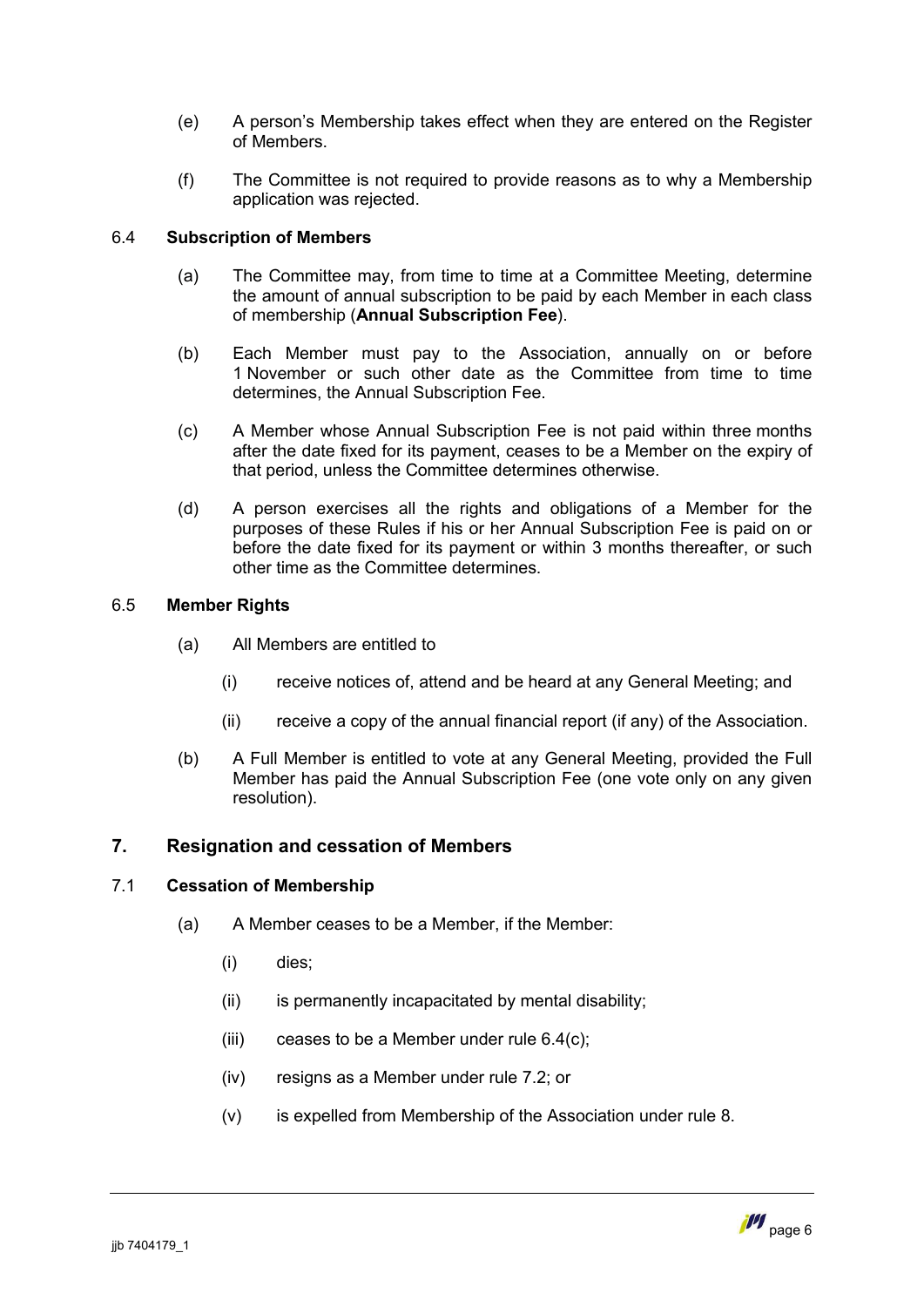- (e) A person's Membership takes effect when they are entered on the Register of Members.
- (f) The Committee is not required to provide reasons as to why a Membership application was rejected.

# 6.4 **Subscription of Members**

- <span id="page-7-1"></span>(a) The Committee may, from time to time at a Committee Meeting, determine the amount of annual subscription to be paid by each Member in each class of membership (**Annual Subscription Fee**).
- (b) Each Member must pay to the Association, annually on or before 1 November or such other date as the Committee from time to time determines, the Annual Subscription Fee.
- (c) A Member whose Annual Subscription Fee is not paid within three months after the date fixed for its payment, ceases to be a Member on the expiry of that period, unless the Committee determines otherwise.
- <span id="page-7-2"></span>(d) A person exercises all the rights and obligations of a Member for the purposes of these Rules if his or her Annual Subscription Fee is paid on or before the date fixed for its payment or within 3 months thereafter, or such other time as the Committee determines.

# 6.5 **Member Rights**

- (a) All Members are entitled to
	- (i) receive notices of, attend and be heard at any General Meeting; and
	- (ii) receive a copy of the annual financial report (if any) of the Association.
- (b) A Full Member is entitled to vote at any General Meeting, provided the Full Member has paid the Annual Subscription Fee (one vote only on any given resolution).

# <span id="page-7-0"></span>**7. Resignation and cessation of Members**

# 7.1 **Cessation of Membership**

- <span id="page-7-3"></span>(a) A Member ceases to be a Member, if the Member:
	- (i) dies;
	- (ii) is permanently incapacitated by mental disability;
	- (iii) ceases to be a Member under rule  $6.4(c)$ ;
	- (iv) resigns as a Member under rule [7.2;](#page-8-1) or
	- (v) is expelled from Membership of the Association under rule [8](#page-8-0).

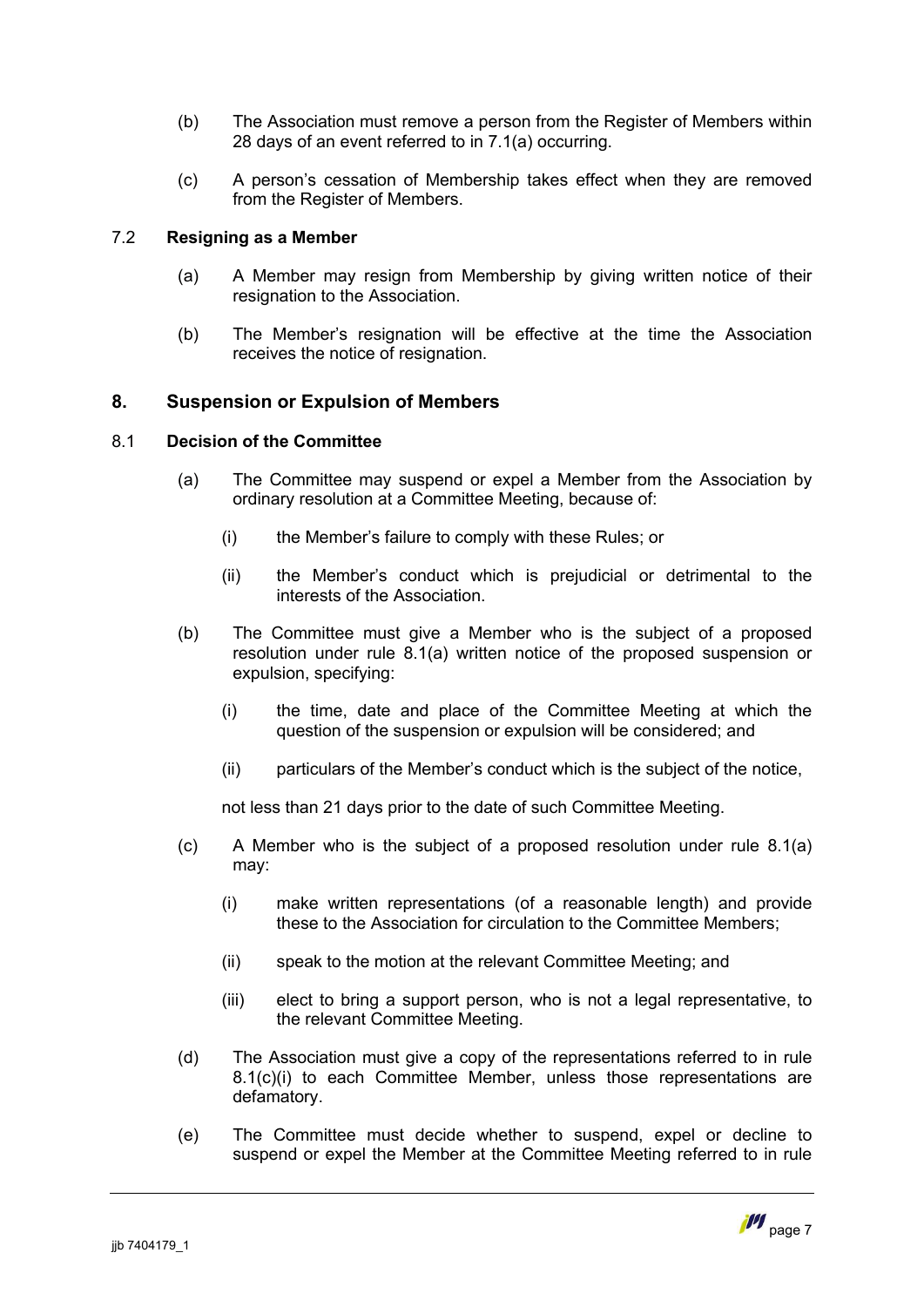- (b) The Association must remove a person from the Register of Members within 28 days of an event referred to in [7.1\(a\)](#page-7-3) occurring.
- (c) A person's cessation of Membership takes effect when they are removed from the Register of Members.

# 7.2 **Resigning as a Member**

- <span id="page-8-1"></span>(a) A Member may resign from Membership by giving written notice of their resignation to the Association.
- (b) The Member's resignation will be effective at the time the Association receives the notice of resignation.

# <span id="page-8-0"></span>**8. Suspension or Expulsion of Members**

#### 8.1 **Decision of the Committee**

- <span id="page-8-2"></span>(a) The Committee may suspend or expel a Member from the Association by ordinary resolution at a Committee Meeting, because of:
	- (i) the Member's failure to comply with these Rules; or
	- (ii) the Member's conduct which is prejudicial or detrimental to the interests of the Association.
- (b) The Committee must give a Member who is the subject of a proposed resolution under rule 8.1(a) written notice of the proposed suspension or expulsion, specifying:
	- (i) the time, date and place of the Committee Meeting at which the question of the suspension or expulsion will be considered; and
	- (ii) particulars of the Member's conduct which is the subject of the notice,

<span id="page-8-3"></span>not less than 21 days prior to the date of such Committee Meeting.

- (c) A Member who is the subject of a proposed resolution under rule [8.1\(a\)](#page-8-2) may:
	- (i) make written representations (of a reasonable length) and provide these to the Association for circulation to the Committee Members;
	- (ii) speak to the motion at the relevant Committee Meeting; and
	- (iii) elect to bring a support person, who is not a legal representative, to the relevant Committee Meeting.
- (d) The Association must give a copy of the representations referred to in rule 8.1(c)(i) to each Committee Member, unless those representations are [defamat](#page-8-3)ory.
- (e) The Committee must decide whether to suspend, expel or decline to suspend or expel the Member at the Committee Meeting referred to in rule

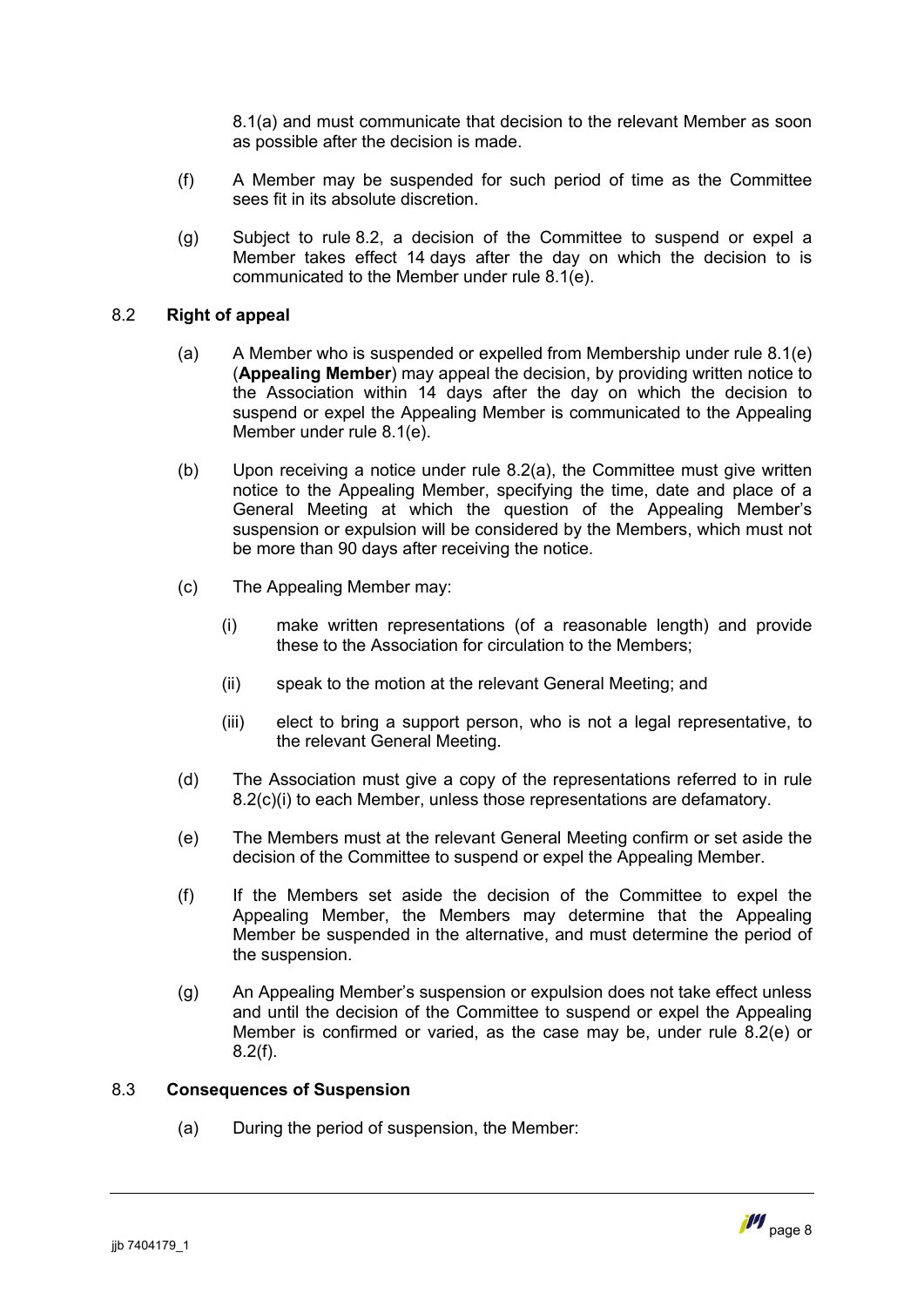8.1(a) and must communicate that decision to the relevant Member as soon [as pos](#page-8-2)sible after the decision is made.

- (f) A Member may be suspended for such period of time as the Committee sees fit in its absolute discretion.
- (g) Subject to rule [8.2,](#page-9-1) a decision of the Committee to suspend or expel a Member takes effect 14 days after the day on which the decision to is communicated to the Member under rule [8.1\(e\)](#page-9-2).

### 8.2 **Right of appeal**

- <span id="page-9-1"></span><span id="page-9-0"></span>(a) A Member who is suspended or expelled from Membership under rule [8.1\(e\)](#page-9-2) (**Appealing Member**) may appeal the decision, by providing written notice to the Association within 14 days after the day on which the decision to suspend or expel the Appealing Member is communicated to the Appealing Member under rule [8.1\(e\).](#page-9-2)
- (b) Upon receiving a notice under rule [8.2\(a\),](#page-9-0) the Committee must give written notice to the Appealing Member, specifying the time, date and place of a General Meeting at which the question of the Appealing Member's suspension or expulsion will be considered by the Members, which must not be more than 90 days after receiving the notice.
- <span id="page-9-3"></span>(c) The Appealing Member may:
	- (i) make written representations (of a reasonable length) and provide these to the Association for circulation to the Members;
	- (ii) speak to the motion at the relevant General Meeting; and
	- (iii) elect to bring a support person, who is not a legal representative, to the relevant General Meeting.
- (d) The Association must give a copy of the representations referred to in rule [8.2\(c\)\(i\)](#page-9-3) to each Member, unless those representations are defamatory.
- <span id="page-9-4"></span>(e) The Members must at the relevant General Meeting confirm or set aside the decision of the Committee to suspend or expel the Appealing Member.
- <span id="page-9-5"></span>(f) If the Members set aside the decision of the Committee to expel the Appealing Member, the Members may determine that the Appealing Member be suspended in the alternative, and must determine the period of the suspension.
- (g) An Appealing Member's suspension or expulsion does not take effect unless and until the decision of the Committee to suspend or expel the Appealing Member is confirmed or varied, as the case may be, under rule [8.2\(e\)](#page-9-4) or [8.2\(f\)](#page-9-5).

## 8.3 **Consequences of Suspension**

<span id="page-9-2"></span>(a) During the period of suspension, the Member: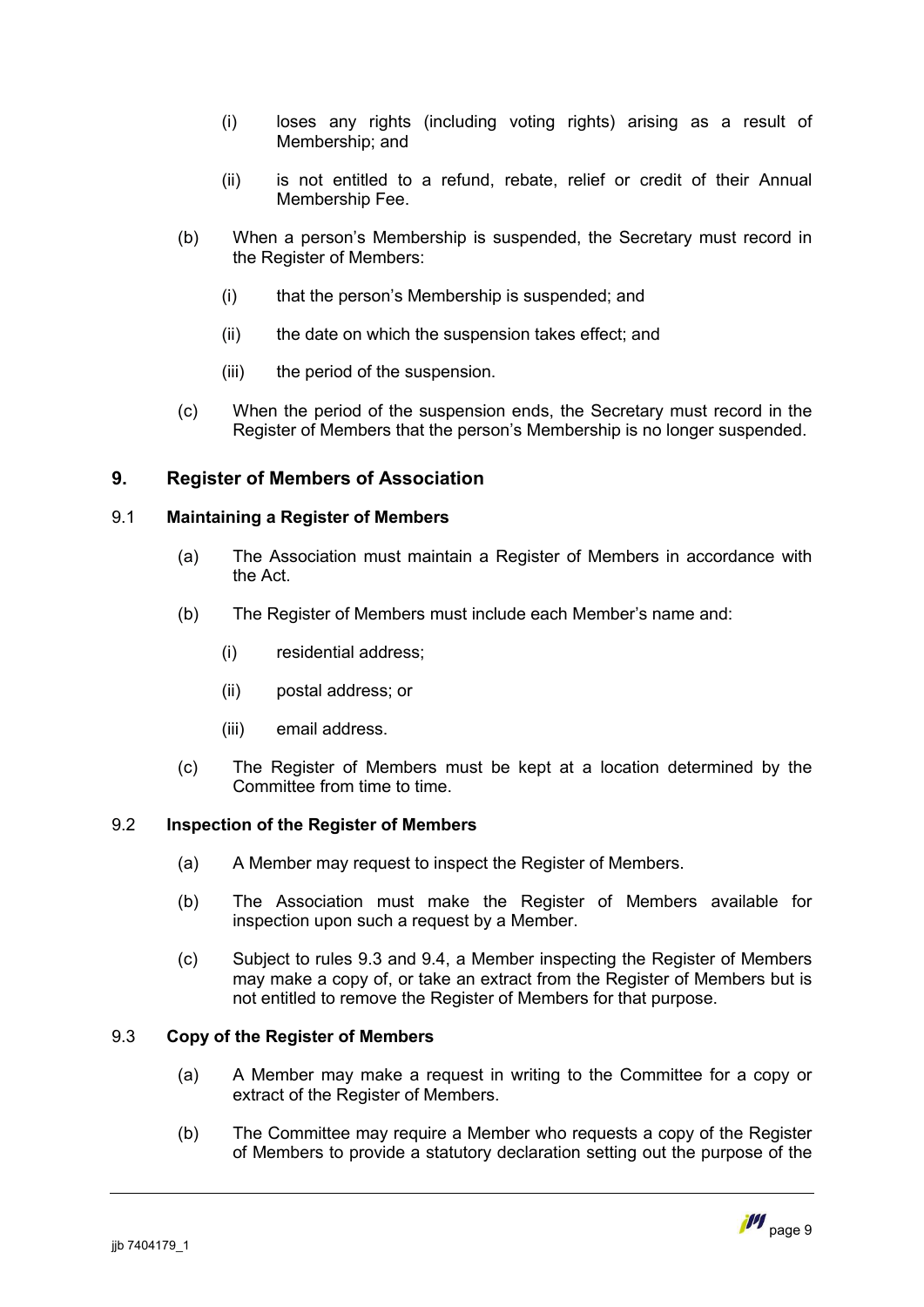- (i) loses any rights (including voting rights) arising as a result of Membership; and
- (ii) is not entitled to a refund, rebate, relief or credit of their Annual Membership Fee.
- (b) When a person's Membership is suspended, the Secretary must record in the Register of Members:
	- (i) that the person's Membership is suspended; and
	- (ii) the date on which the suspension takes effect; and
	- (iii) the period of the suspension.
- <span id="page-10-3"></span>(c) When the period of the suspension ends, the Secretary must record in the Register of Members that the person's Membership is no longer suspended.

# <span id="page-10-0"></span>**9. Register of Members of Association**

# 9.1 **Maintaining a Register of Members**

- <span id="page-10-1"></span>(a) The Association must maintain a Register of Members in accordance with the Act.
- (b) The Register of Members must include each Member's name and:
	- (i) residential address;
	- (ii) postal address; or
	- (iii) email address.
- (c) The Register of Members must be kept at a location determined by the Committee from time to time.

# 9.2 **Inspection of the Register of Members**

- <span id="page-10-4"></span>(a) A Member may request to inspect the Register of Members.
- (b) The Association must make the Register of Members available for inspection upon such a request by a Member.
- (c) Subject to rules [9.3](#page-10-2) and [9.4](#page-11-1), a Member inspecting the Register of Members may make a copy of, or take an extract from the Register of Members but is not entitled to remove the Register of Members for that purpose.

# 9.3 **Copy of the Register of Members**

- <span id="page-10-2"></span>(a) A Member may make a request in writing to the Committee for a copy or extract of the Register of Members.
- (b) The Committee may require a Member who requests a copy of the Register of Members to provide a statutory declaration setting out the purpose of the

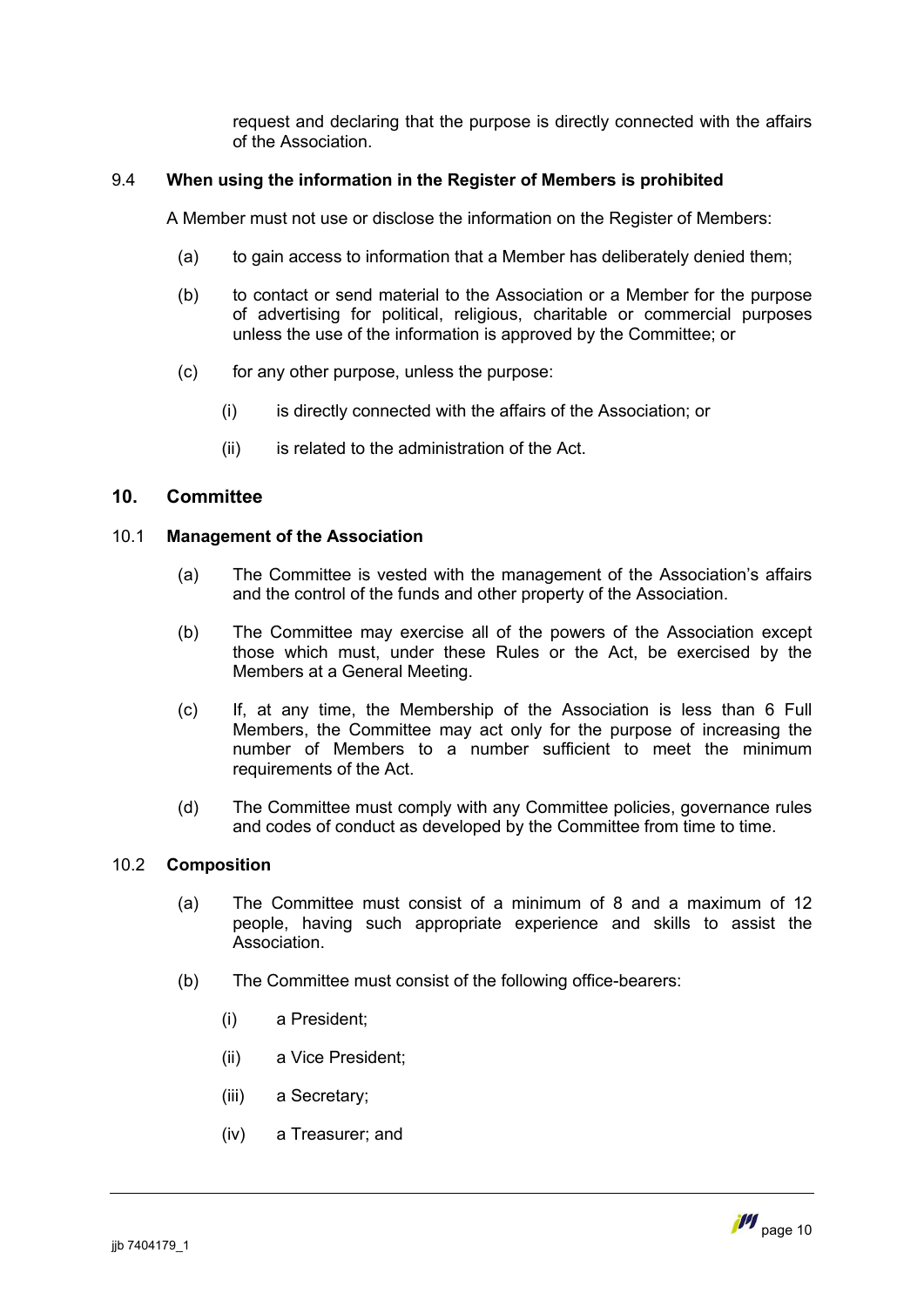request and declaring that the purpose is directly connected with the affairs of the Association.

# 9.4 **When using the information in the Register of Members is prohibited**

<span id="page-11-1"></span>A Member must not use or disclose the information on the Register of Members:

- (a) to gain access to information that a Member has deliberately denied them;
- (b) to contact or send material to the Association or a Member for the purpose of advertising for political, religious, charitable or commercial purposes unless the use of the information is approved by the Committee; or
- (c) for any other purpose, unless the purpose:
	- (i) is directly connected with the affairs of the Association; or
	- (ii) is related to the administration of the Act.

#### <span id="page-11-0"></span>**10. Committee**

#### 10.1 **Management of the Association**

- (a) The Committee is vested with the management of the Association's affairs and the control of the funds and other property of the Association.
- (b) The Committee may exercise all of the powers of the Association except those which must, under these Rules or the Act, be exercised by the Members at a General Meeting.
- (c) If, at any time, the Membership of the Association is less than 6 Full Members, the Committee may act only for the purpose of increasing the number of Members to a number sufficient to meet the minimum requirements of the Act.
- (d) The Committee must comply with any Committee policies, governance rules and codes of conduct as developed by the Committee from time to time.

#### 10.2 **Composition**

- (a) The Committee must consist of a minimum of 8 and a maximum of 12 people, having such appropriate experience and skills to assist the **Association**
- <span id="page-11-2"></span>(b) The Committee must consist of the following office-bearers:
	- (i) a President;
	- (ii) a Vice President;
	- (iii) a Secretary;
	- (iv) a Treasurer; and

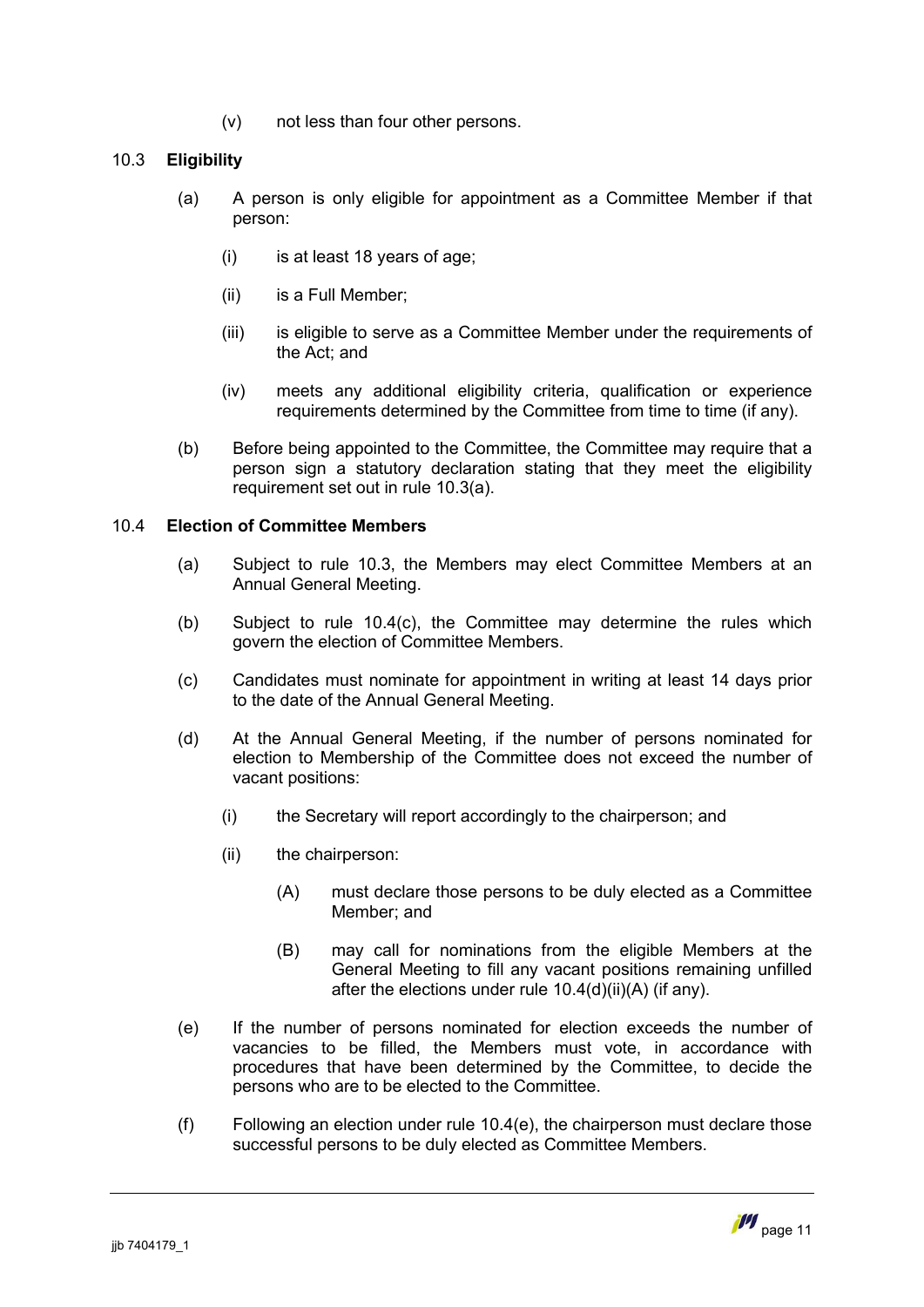(v) not less than four other persons.

# 10.3 **Eligibility**

- <span id="page-12-1"></span><span id="page-12-0"></span>(a) A person is only eligible for appointment as a Committee Member if that person:
	- (i) is at least 18 years of age;
	- (ii) is a Full Member;
	- (iii) is eligible to serve as a Committee Member under the requirements of the Act; and
	- (iv) meets any additional eligibility criteria, qualification or experience requirements determined by the Committee from time to time (if any).
- (b) Before being appointed to the Committee, the Committee may require that a person sign a statutory declaration stating that they meet the eligibility requirement set out in rule [10.3](#page-12-0)[\(a\)](#page-12-1).

# 10.4 **Election of Committee Members**

- <span id="page-12-2"></span>(a) Subject to rule [10.3,](#page-12-0) the Members may elect Committee Members at an Annual General Meeting.
- (b) Subject to rule [10.4](#page-12-2)[\(c\),](#page-12-3) the Committee may determine the rules which govern the election of Committee Members.
- <span id="page-12-3"></span>(c) Candidates must nominate for appointment in writing at least 14 days prior to the date of the Annual General Meeting.
- (d) At the Annual General Meeting, if the number of persons nominated for election to Membership of the Committee does not exceed the number of vacant positions:
	- (i) the Secretary will report accordingly to the chairperson; and
	- (ii) the chairperson:
		- (A) must declare those persons to be duly elected as a Committee Member; and
		- (B) may call for nominations from the eligible Members at the General Meeting to fill any vacant positions remaining unfilled after the elections under rule [10.4\(d\)\(ii\)\(A\)](#page-12-4) (if any).
- <span id="page-12-5"></span><span id="page-12-4"></span>(e) If the number of persons nominated for election exceeds the number of vacancies to be filled, the Members must vote, in accordance with procedures that have been determined by the Committee, to decide the persons who are to be elected to the Committee.
- (f) Following an election under rule [10.4\(e\)](#page-12-5), the chairperson must declare those successful persons to be duly elected as Committee Members.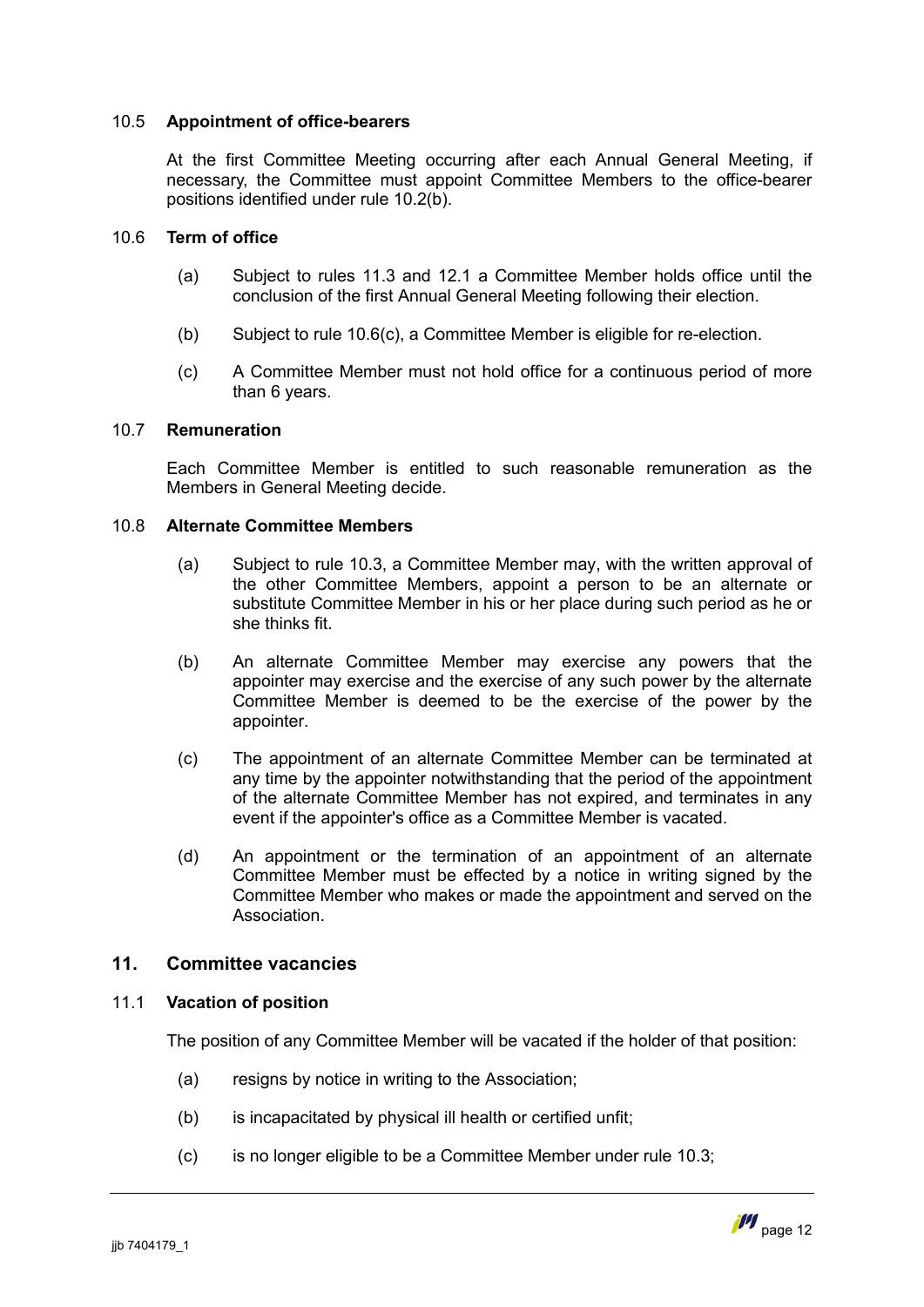### 10.5 **Appointment of office-bearers**

At the first Committee Meeting occurring after each Annual General Meeting, if necessary, the Committee must appoint Committee Members to the office-bearer positions identified under rule [10.2\(b\)](#page-11-2).

# 10.6 **Term of office**

- (a) Subject to rules [11.3](#page-14-1) and [12.1](#page-14-2) a Committee Member holds office until the conclusion of the first Annual General Meeting following their election.
- (b) Subject to rule [10.6\(c\)](#page-13-2), a Committee Member is eligible for re-election.
- <span id="page-13-2"></span>(c) A Committee Member must not hold office for a continuous period of more than 6 years.

#### 10.7 **Remuneration**

<span id="page-13-1"></span>Each Committee Member is entitled to such reasonable remuneration as the Members in General Meeting decide.

#### 10.8 **Alternate Committee Members**

- (a) Subject to rule [10.3](#page-12-0), a Committee Member may, with the written approval of the other Committee Members, appoint a person to be an alternate or substitute Committee Member in his or her place during such period as he or she thinks fit.
- (b) An alternate Committee Member may exercise any powers that the appointer may exercise and the exercise of any such power by the alternate Committee Member is deemed to be the exercise of the power by the appointer.
- (c) The appointment of an alternate Committee Member can be terminated at any time by the appointer notwithstanding that the period of the appointment of the alternate Committee Member has not expired, and terminates in any event if the appointer's office as a Committee Member is vacated.
- (d) An appointment or the termination of an appointment of an alternate Committee Member must be effected by a notice in writing signed by the Committee Member who makes or made the appointment and served on the Association.

# <span id="page-13-0"></span>**11. Committee vacancies**

# 11.1 **Vacation of position**

<span id="page-13-3"></span>The position of any Committee Member will be vacated if the holder of that position:

- (a) resigns by notice in writing to the Association;
- (b) is incapacitated by physical ill health or certified unfit;
- (c) is no longer eligible to be a Committee Member under rule [10.3](#page-12-0);

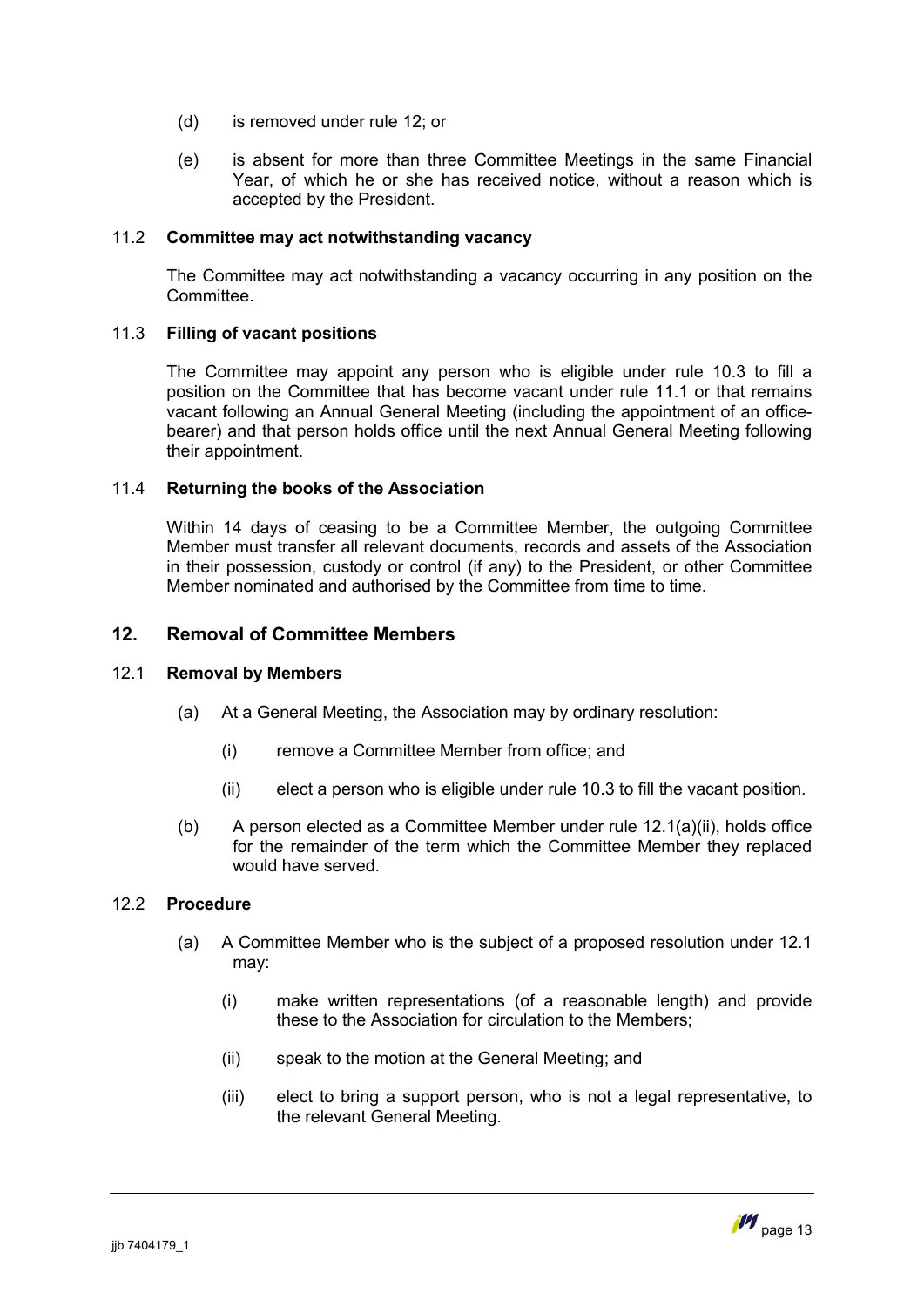- (d) is removed under rule [12](#page-14-0); or
- (e) is absent for more than three Committee Meetings in the same Financial Year, of which he or she has received notice, without a reason which is accepted by the President.

### 11.2 **Committee may act notwithstanding vacancy**

The Committee may act notwithstanding a vacancy occurring in any position on the Committee.

# 11.3 **Filling of vacant positions**

<span id="page-14-1"></span>The Committee may appoint any person who is eligible under rule [10.3](#page-12-0) to fill a position on the Committee that has become vacant under rule 11.1 or that remains vacant following an Annual General Meeting (including the app[ointm](#page-13-3)ent of an officebearer) and that person holds office until the next Annual General Meeting following their appointment.

#### 11.4 **Returning the books of the Association**

Within 14 days of ceasing to be a Committee Member, the outgoing Committee Member must transfer all relevant documents, records and assets of the Association in their possession, custody or control (if any) to the President, or other Committee Member nominated and authorised by the Committee from time to time.

# <span id="page-14-0"></span>**12. Removal of Committee Members**

#### 12.1 **Removal by Members**

- <span id="page-14-2"></span>(a) At a General Meeting, the Association may by ordinary resolution:
	- (i) remove a Committee Member from office; and
	- (ii) elect a person who is eligible under rule [10.3](#page-12-0) to fill the vacant position.
- <span id="page-14-3"></span>(b) A person elected as a Committee Member under rule [12.1\(a\)\(ii\)](#page-14-3), holds office for the remainder of the term which the Committee Member they replaced would have served.

# 12.2 **Procedure**

- <span id="page-14-4"></span>(a) A Committee Member who is the subject of a proposed resolution under [12.1](#page-14-2) may:
	- (i) make written representations (of a reasonable length) and provide these to the Association for circulation to the Members;
	- (ii) speak to the motion at the General Meeting; and
	- (iii) elect to bring a support person, who is not a legal representative, to the relevant General Meeting.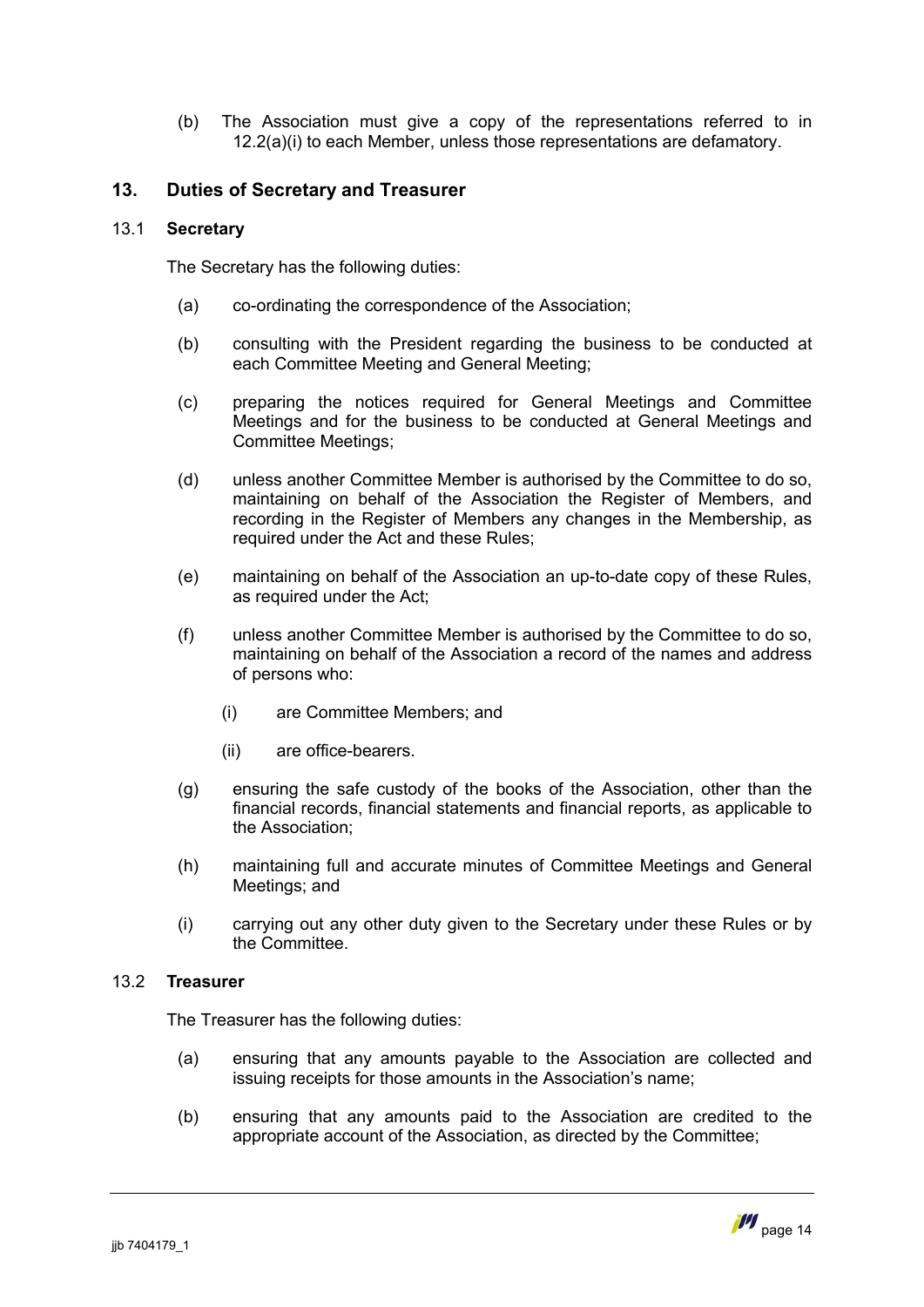(b) The Association must give a copy of the representations referred to in [12.2\(a\)\(i\)](#page-14-4) to each Member, unless those representations are defamatory.

# <span id="page-15-0"></span>**13. Duties of Secretary and Treasurer**

# 13.1 **Secretary**

The Secretary has the following duties:

- (a) co-ordinating the correspondence of the Association;
- (b) consulting with the President regarding the business to be conducted at each Committee Meeting and General Meeting;
- (c) preparing the notices required for General Meetings and Committee Meetings and for the business to be conducted at General Meetings and Committee Meetings;
- (d) unless another Committee Member is authorised by the Committee to do so, maintaining on behalf of the Association the Register of Members, and recording in the Register of Members any changes in the Membership, as required under the Act and these Rules;
- (e) maintaining on behalf of the Association an up-to-date copy of these Rules, as required under the Act;
- <span id="page-15-1"></span>(f) unless another Committee Member is authorised by the Committee to do so, maintaining on behalf of the Association a record of the names and address of persons who:
	- (i) are Committee Members; and
	- (ii) are office-bearers.
- (g) ensuring the safe custody of the books of the Association, other than the financial records, financial statements and financial reports, as applicable to the Association;
- (h) maintaining full and accurate minutes of Committee Meetings and General Meetings; and
- (i) carrying out any other duty given to the Secretary under these Rules or by the Committee.

# 13.2 **Treasurer**

The Treasurer has the following duties:

- (a) ensuring that any amounts payable to the Association are collected and issuing receipts for those amounts in the Association's name;
- (b) ensuring that any amounts paid to the Association are credited to the appropriate account of the Association, as directed by the Committee;

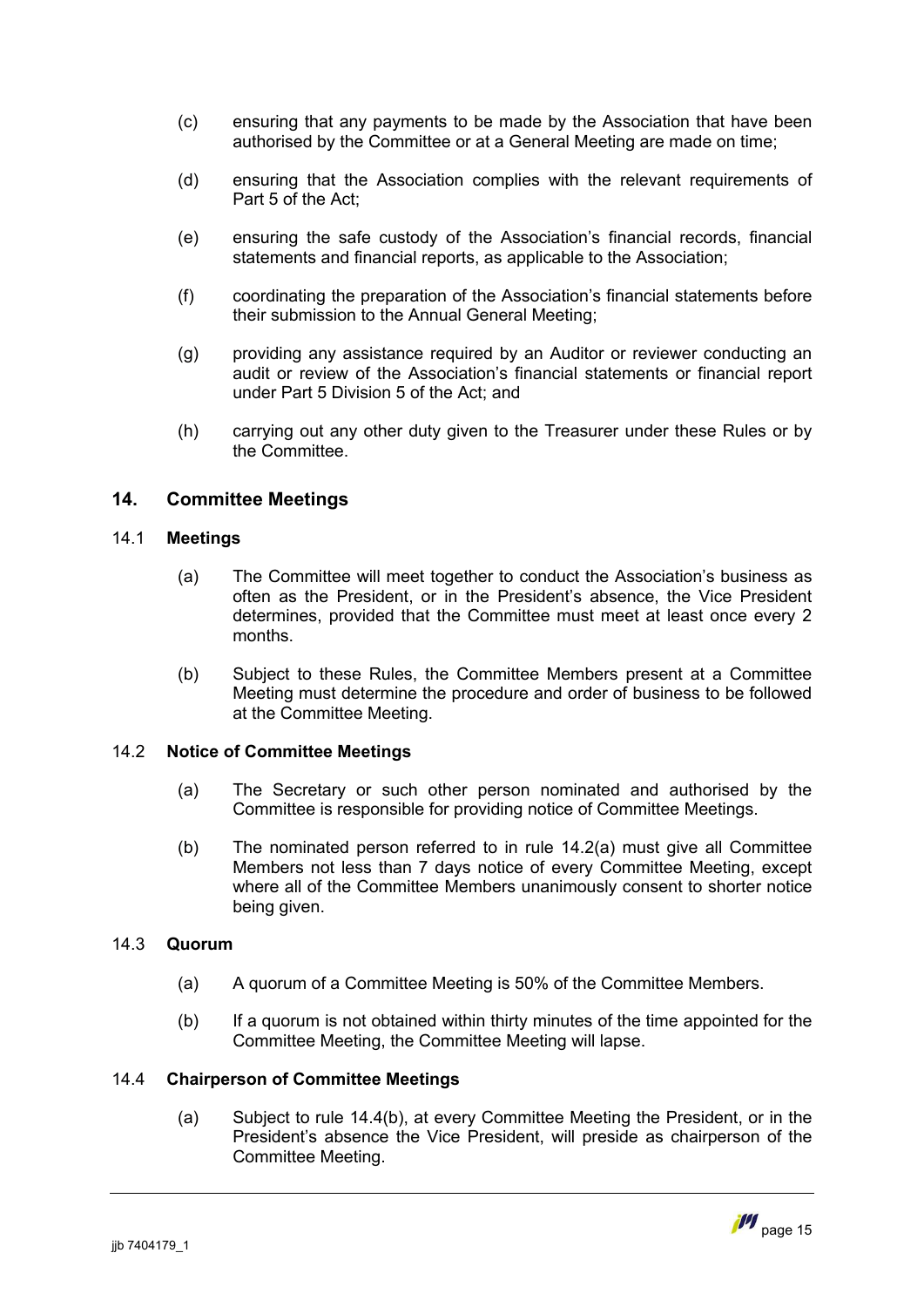- (c) ensuring that any payments to be made by the Association that have been authorised by the Committee or at a General Meeting are made on time;
- (d) ensuring that the Association complies with the relevant requirements of Part 5 of the Act;
- (e) ensuring the safe custody of the Association's financial records, financial statements and financial reports, as applicable to the Association;
- (f) coordinating the preparation of the Association's financial statements before their submission to the Annual General Meeting;
- (g) providing any assistance required by an Auditor or reviewer conducting an audit or review of the Association's financial statements or financial report under Part 5 Division 5 of the Act; and
- (h) carrying out any other duty given to the Treasurer under these Rules or by the Committee.

# <span id="page-16-0"></span>**14. Committee Meetings**

### 14.1 **Meetings**

- (a) The Committee will meet together to conduct the Association's business as often as the President, or in the President's absence, the Vice President determines, provided that the Committee must meet at least once every 2 months.
- (b) Subject to these Rules, the Committee Members present at a Committee Meeting must determine the procedure and order of business to be followed at the Committee Meeting.

# 14.2 **Notice of Committee Meetings**

- <span id="page-16-1"></span>(a) The Secretary or such other person nominated and authorised by the Committee is responsible for providing notice of Committee Meetings.
- (b) The nominated person referred to in rule [14.2\(a\)](#page-16-1) must give all Committee Members not less than 7 days notice of every Committee Meeting, except where all of the Committee Members unanimously consent to shorter notice being given.

# 14.3 **Quorum**

- (a) A quorum of a Committee Meeting is 50% of the Committee Members.
- (b) If a quorum is not obtained within thirty minutes of the time appointed for the Committee Meeting, the Committee Meeting will lapse.

# 14.4 **Chairperson of Committee Meetings**

(a) Subject to rule [14.4\(b\)](#page-17-0), at every Committee Meeting the President, or in the President's absence the Vice President, will preside as chairperson of the Committee Meeting.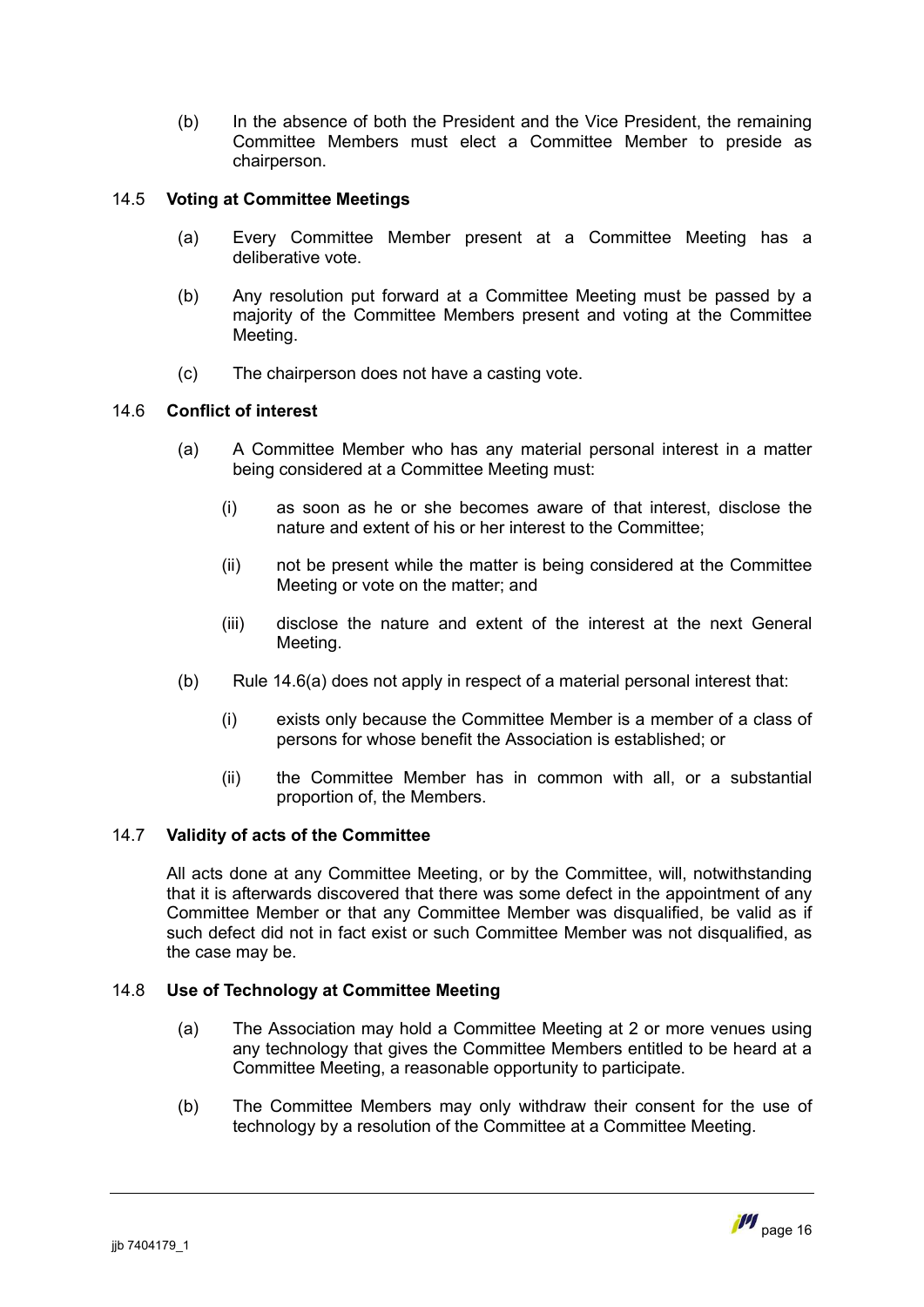<span id="page-17-0"></span>(b) In the absence of both the President and the Vice President, the remaining Committee Members must elect a Committee Member to preside as chairperson.

# 14.5 **Voting at Committee Meetings**

- (a) Every Committee Member present at a Committee Meeting has a deliberative vote.
- (b) Any resolution put forward at a Committee Meeting must be passed by a majority of the Committee Members present and voting at the Committee Meeting.
- (c) The chairperson does not have a casting vote.

# 14.6 **Conflict of interest**

- <span id="page-17-2"></span><span id="page-17-1"></span>(a) A Committee Member who has any material personal interest in a matter being considered at a Committee Meeting must:
	- (i) as soon as he or she becomes aware of that interest, disclose the nature and extent of his or her interest to the Committee;
	- (ii) not be present while the matter is being considered at the Committee Meeting or vote on the matter; and
	- (iii) disclose the nature and extent of the interest at the next General Meeting.
- (b) Rule [14.6\(a\)](#page-17-1) does not apply in respect of a material personal interest that:
	- (i) exists only because the Committee Member is a member of a class of persons for whose benefit the Association is established; or
	- (ii) the Committee Member has in common with all, or a substantial proportion of, the Members.

# 14.7 **Validity of acts of the Committee**

All acts done at any Committee Meeting, or by the Committee, will, notwithstanding that it is afterwards discovered that there was some defect in the appointment of any Committee Member or that any Committee Member was disqualified, be valid as if such defect did not in fact exist or such Committee Member was not disqualified, as the case may be.

# 14.8 **Use of Technology at Committee Meeting**

- (a) The Association may hold a Committee Meeting at 2 or more venues using any technology that gives the Committee Members entitled to be heard at a Committee Meeting, a reasonable opportunity to participate.
- (b) The Committee Members may only withdraw their consent for the use of technology by a resolution of the Committee at a Committee Meeting.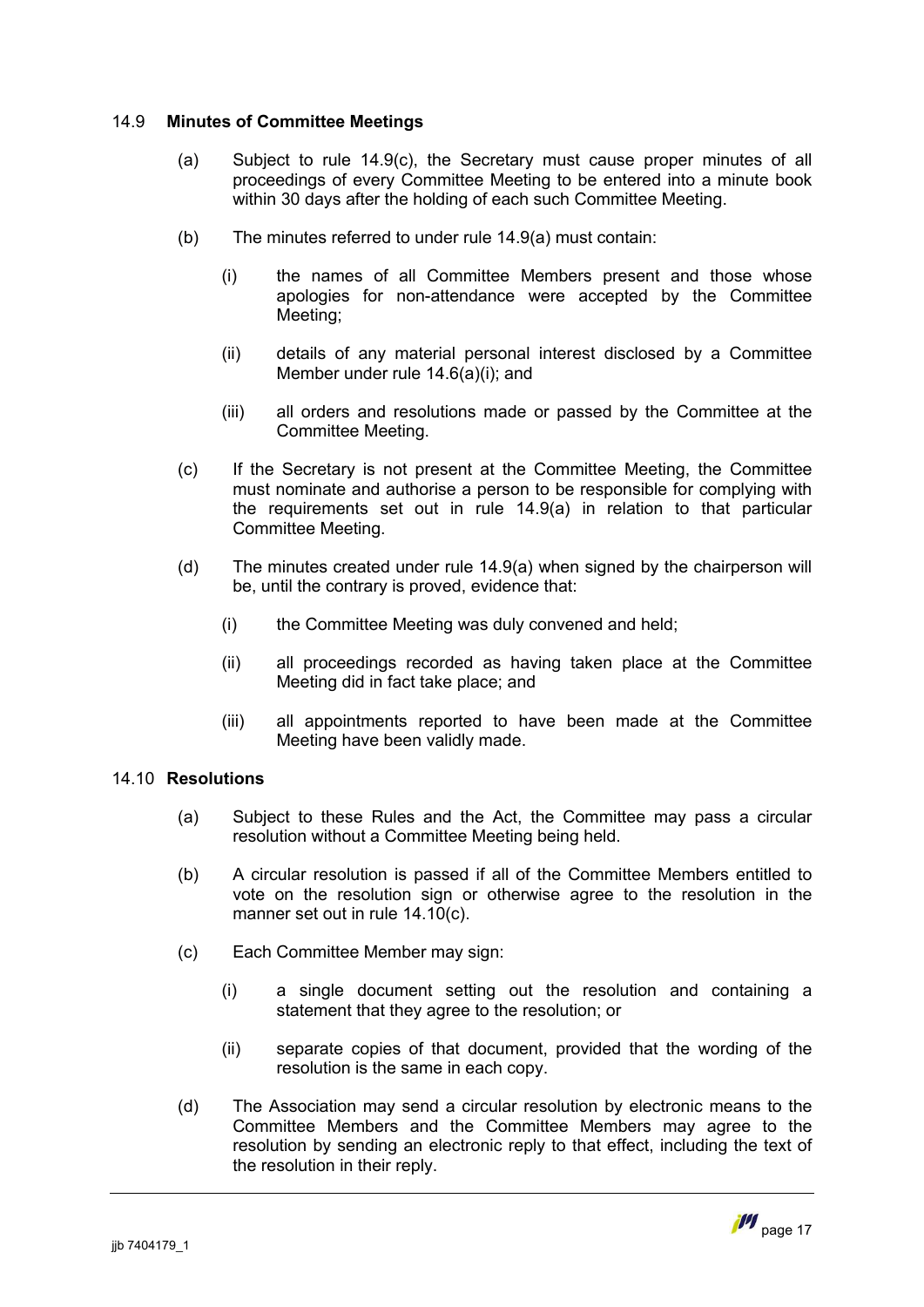### 14.9 **Minutes of Committee Meetings**

- <span id="page-18-1"></span>(a) Subject to rule [14.9\(c\)](#page-18-0), the Secretary must cause proper minutes of all proceedings of every Committee Meeting to be entered into a minute book within 30 days after the holding of each such Committee Meeting.
- (b) The minutes referred to under rule [14.9\(a\)](#page-18-1) must contain:
	- (i) the names of all Committee Members present and those whose apologies for non-attendance were accepted by the Committee Meeting;
	- (ii) details of any material personal interest disclosed by a Committee Member under rule [14.6\(a\)\(i\)](#page-17-2); and
	- (iii) all orders and resolutions made or passed by the Committee at the Committee Meeting.
- <span id="page-18-0"></span>(c) If the Secretary is not present at the Committee Meeting, the Committee must nominate and authorise a person to be responsible for complying with the requirements set out in rule [14.9\(a\)](#page-18-1) in relation to that particular Committee Meeting.
- (d) The minutes created under rule [14.9\(a\)](#page-18-1) when signed by the chairperson will be, until the contrary is proved, evidence that:
	- (i) the Committee Meeting was duly convened and held;
	- (ii) all proceedings recorded as having taken place at the Committee Meeting did in fact take place; and
	- (iii) all appointments reported to have been made at the Committee Meeting have been validly made.

# 14.10 **Resolutions**

- (a) Subject to these Rules and the Act, the Committee may pass a circular resolution without a Committee Meeting being held.
- (b) A circular resolution is passed if all of the Committee Members entitled to vote on the resolution sign or otherwise agree to the resolution in the manner set out in rule [14.10\(c\)](#page-18-2).
- <span id="page-18-2"></span>(c) Each Committee Member may sign:
	- (i) a single document setting out the resolution and containing a statement that they agree to the resolution; or
	- (ii) separate copies of that document, provided that the wording of the resolution is the same in each copy.
- (d) The Association may send a circular resolution by electronic means to the Committee Members and the Committee Members may agree to the resolution by sending an electronic reply to that effect, including the text of the resolution in their reply.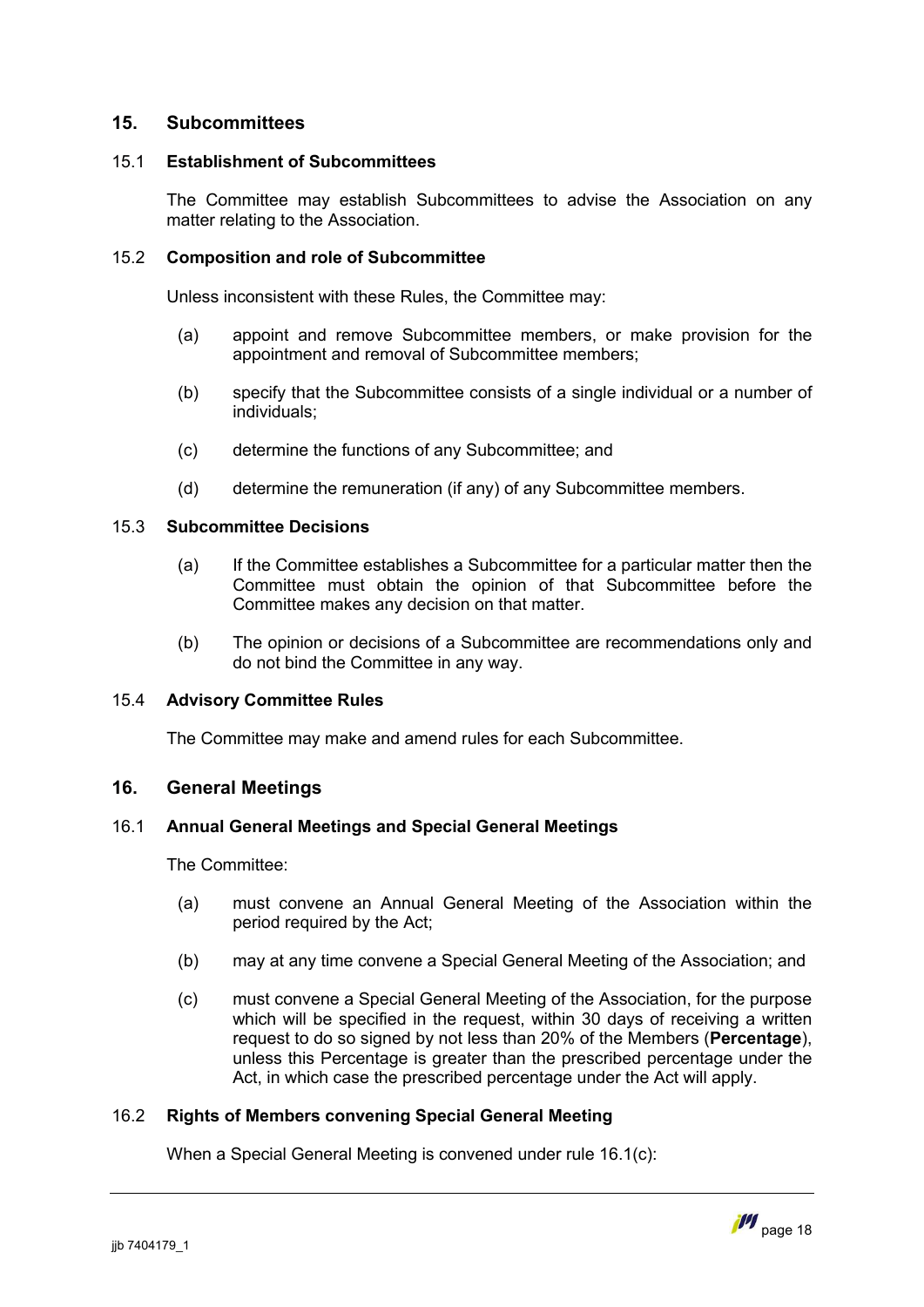# <span id="page-19-0"></span>**15. Subcommittees**

# 15.1 **Establishment of Subcommittees**

The Committee may establish Subcommittees to advise the Association on any matter relating to the Association.

### 15.2 **Composition and role of Subcommittee**

Unless inconsistent with these Rules, the Committee may:

- (a) appoint and remove Subcommittee members, or make provision for the appointment and removal of Subcommittee members;
- (b) specify that the Subcommittee consists of a single individual or a number of individuals;
- (c) determine the functions of any Subcommittee; and
- (d) determine the remuneration (if any) of any Subcommittee members.

#### 15.3 **Subcommittee Decisions**

- (a) If the Committee establishes a Subcommittee for a particular matter then the Committee must obtain the opinion of that Subcommittee before the Committee makes any decision on that matter.
- (b) The opinion or decisions of a Subcommittee are recommendations only and do not bind the Committee in any way.

#### 15.4 **Advisory Committee Rules**

<span id="page-19-1"></span>The Committee may make and amend rules for each Subcommittee.

# **16. General Meetings**

## 16.1 **Annual General Meetings and Special General Meetings**

The Committee:

- <span id="page-19-2"></span>(a) must convene an Annual General Meeting of the Association within the period required by the Act;
- (b) may at any time convene a Special General Meeting of the Association; and
- <span id="page-19-3"></span>(c) must convene a Special General Meeting of the Association, for the purpose which will be specified in the request, within 30 days of receiving a written request to do so signed by not less than 20% of the Members (**Percentage**), unless this Percentage is greater than the prescribed percentage under the Act, in which case the prescribed percentage under the Act will apply.

# 16.2 **Rights of Members convening Special General Meeting**

When a Special General Meeting is convened under rule [16.1\(c\):](#page-19-3)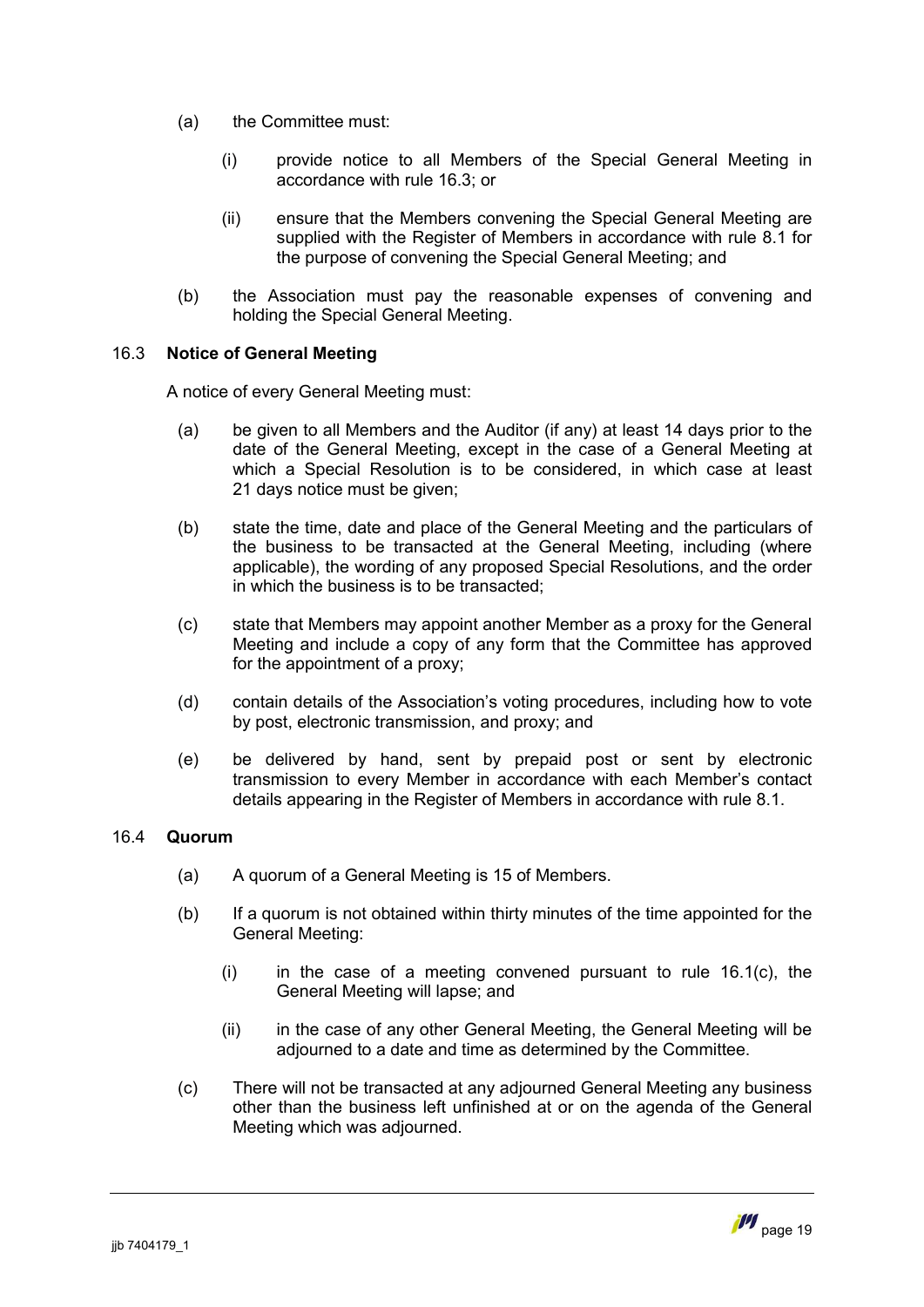- (a) the Committee must:
	- (i) provide notice to all Members of the Special General Meeting in accordance with rule 16.3; or
	- (ii) ensure that the Members convening the Special General Meeting are supplied with the Register of Members in accordance with rule [8.1](#page-10-3) for the purpose of convening the Special General Meeting; and
- (b) the Association must pay the reasonable expenses of convening and holding the Special General Meeting.

# 16.3 **Notice of General Meeting**

<span id="page-20-0"></span>A notice of every General Meeting must:

- (a) be given to all Members and the Auditor (if any) at least 14 days prior to the date of the General Meeting, except in the case of a General Meeting at which a Special Resolution is to be considered, in which case at least 21 days notice must be given;
- (b) state the time, date and place of the General Meeting and the particulars of the business to be transacted at the General Meeting, including (where applicable), the wording of any proposed Special Resolutions, and the order in which the business is to be transacted;
- (c) state that Members may appoint another Member as a proxy for the General Meeting and include a copy of any form that the Committee has approved for the appointment of a proxy;
- (d) contain details of the Association's voting procedures, including how to vote by post, electronic transmission, and proxy; and
- (e) be delivered by hand, sent by prepaid post or sent by electronic transmission to every Member in accordance with each Member's contact details appearing in the Register of Members in accordance with rule [8.1.](#page-10-3)

#### 16.4 **Quorum**

- (a) A quorum of a General Meeting is 15 of Members.
- (b) If a quorum is not obtained within thirty minutes of the time appointed for the General Meeting:
	- $(i)$  in the case of a meeting convened pursuant to rule 16.1 $(c)$ , the General Meeting will lapse; and
	- (ii) in the case of any other General Meeting, the General Meeting will be adjourned to a date and time as determined by the Committee.
- (c) There will not be transacted at any adjourned General Meeting any business other than the business left unfinished at or on the agenda of the General Meeting which was adjourned.

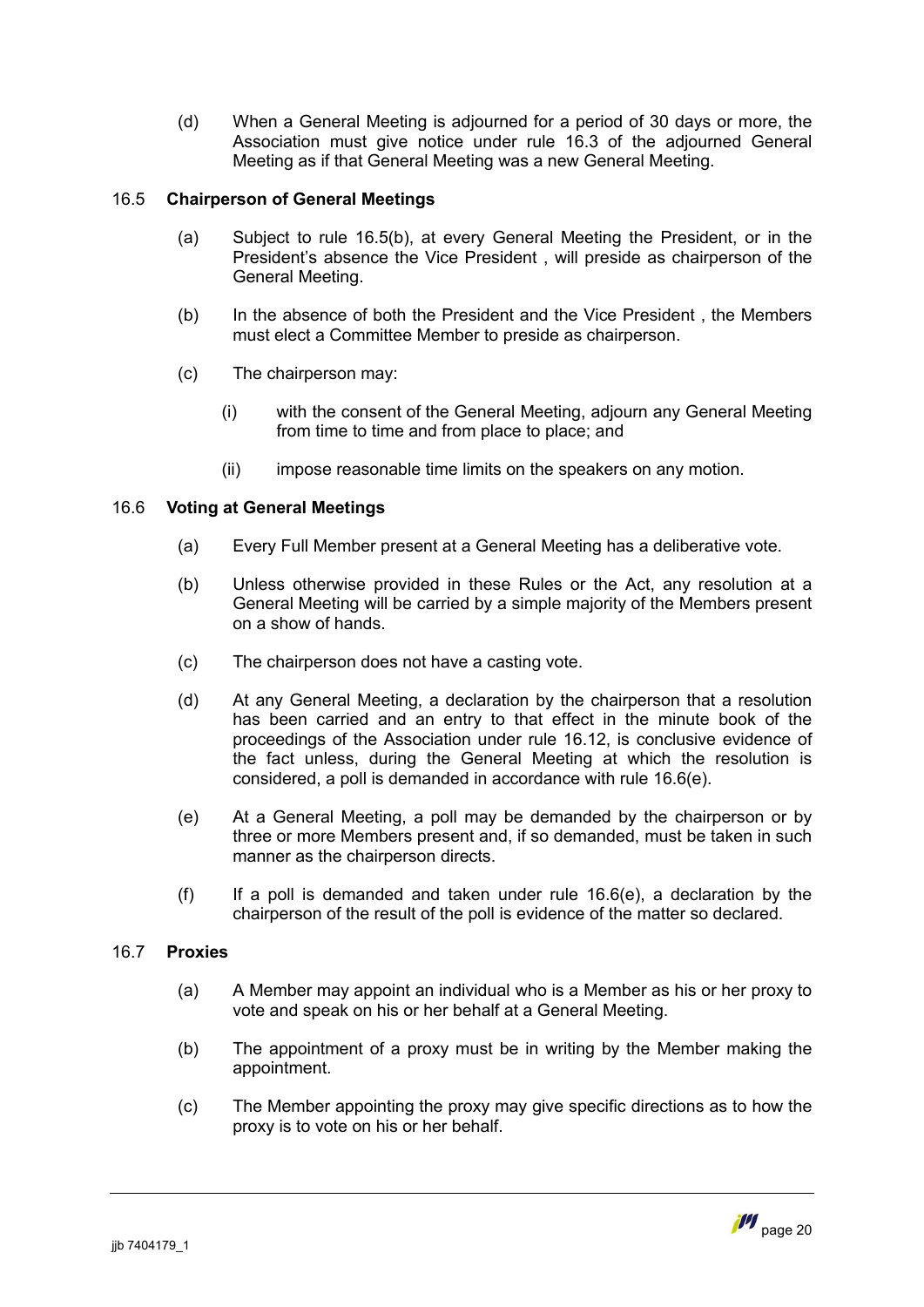(d) When a General Meeting is adjourned for a period of 30 days or more, the Association must give notice under rule 16.3 of the adjourned General Meeting as if that General Meeting was a n[ew Ge](#page-20-0)neral Meeting.

# 16.5 **Chairperson of General Meetings**

- (a) Subject to rule [16.5\(b\),](#page-21-0) at every General Meeting the President, or in the President's absence the Vice President , will preside as chairperson of the General Meeting.
- <span id="page-21-0"></span>(b) In the absence of both the President and the Vice President , the Members must elect a Committee Member to preside as chairperson.
- (c) The chairperson may:
	- (i) with the consent of the General Meeting, adjourn any General Meeting from time to time and from place to place; and
	- (ii) impose reasonable time limits on the speakers on any motion.

# 16.6 **Voting at General Meetings**

- (a) Every Full Member present at a General Meeting has a deliberative vote.
- (b) Unless otherwise provided in these Rules or the Act, any resolution at a General Meeting will be carried by a simple majority of the Members present on a show of hands.
- (c) The chairperson does not have a casting vote.
- (d) At any General Meeting, a declaration by the chairperson that a resolution has been carried and an entry to that effect in the minute book of the proceedings of the Association under rule 16.12, is conclusive evidence of the fact unless, during the General Me[eting a](#page-22-0)t which the resolution is considered, a poll is demanded in accordance with rule [16.6\(e\)](#page-21-1).
- <span id="page-21-1"></span>(e) At a General Meeting, a poll may be demanded by the chairperson or by three or more Members present and, if so demanded, must be taken in such manner as the chairperson directs.
- (f) If a poll is demanded and taken under rule  $16.6(e)$ , a declaration by the chairperson of the result of the poll is evidence of the matter so declared.

# 16.7 **Proxies**

- <span id="page-21-2"></span>(a) A Member may appoint an individual who is a Member as his or her proxy to vote and speak on his or her behalf at a General Meeting.
- (b) The appointment of a proxy must be in writing by the Member making the appointment.
- (c) The Member appointing the proxy may give specific directions as to how the proxy is to vote on his or her behalf.

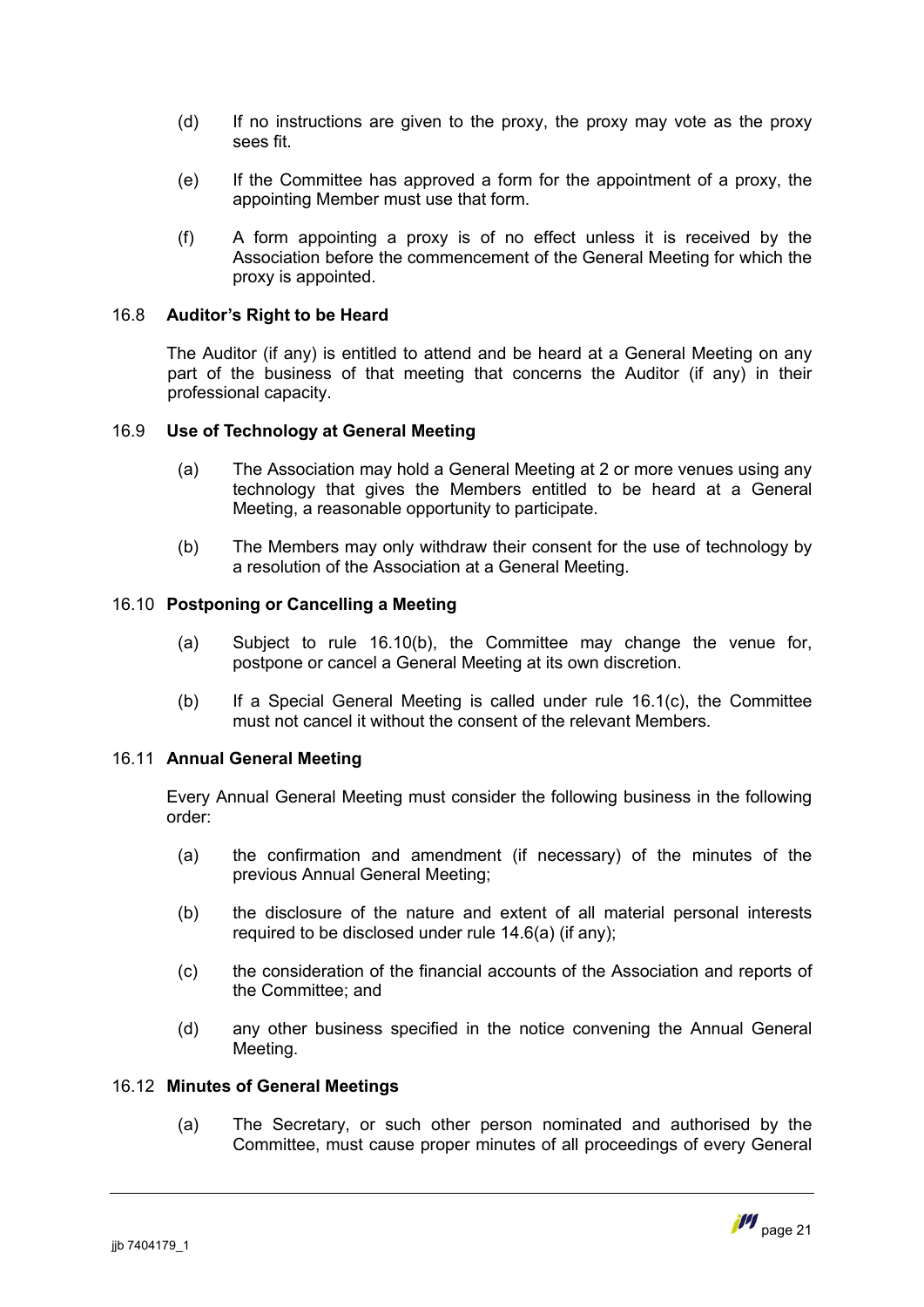- (d) If no instructions are given to the proxy, the proxy may vote as the proxy sees fit.
- (e) If the Committee has approved a form for the appointment of a proxy, the appointing Member must use that form.
- (f) A form appointing a proxy is of no effect unless it is received by the Association before the commencement of the General Meeting for which the proxy is appointed.

### 16.8 **Auditor's Right to be Heard**

The Auditor (if any) is entitled to attend and be heard at a General Meeting on any part of the business of that meeting that concerns the Auditor (if any) in their professional capacity.

#### 16.9 **Use of Technology at General Meeting**

- (a) The Association may hold a General Meeting at 2 or more venues using any technology that gives the Members entitled to be heard at a General Meeting, a reasonable opportunity to participate.
- (b) The Members may only withdraw their consent for the use of technology by a resolution of the Association at a General Meeting.

#### 16.10 **Postponing or Cancelling a Meeting**

- (a) Subject to rule [16.10\(b\),](#page-22-1) the Committee may change the venue for, postpone or cancel a General Meeting at its own discretion.
- <span id="page-22-1"></span>(b) If a Special General Meeting is called under rule [16.1\(c\),](#page-19-3) the Committee must not cancel it without the consent of the relevant Members.

#### 16.11 **Annual General Meeting**

Every Annual General Meeting must consider the following business in the following order:

- (a) the confirmation and amendment (if necessary) of the minutes of the previous Annual General Meeting;
- (b) the disclosure of the nature and extent of all material personal interests required to be disclosed under rule [14.6\(a\)](#page-17-1) (if any);
- (c) the consideration of the financial accounts of the Association and reports of the Committee; and
- (d) any other business specified in the notice convening the Annual General Meeting.

#### 16.12 **Minutes of General Meetings**

<span id="page-22-0"></span>(a) The Secretary, or such other person nominated and authorised by the Committee, must cause proper minutes of all proceedings of every General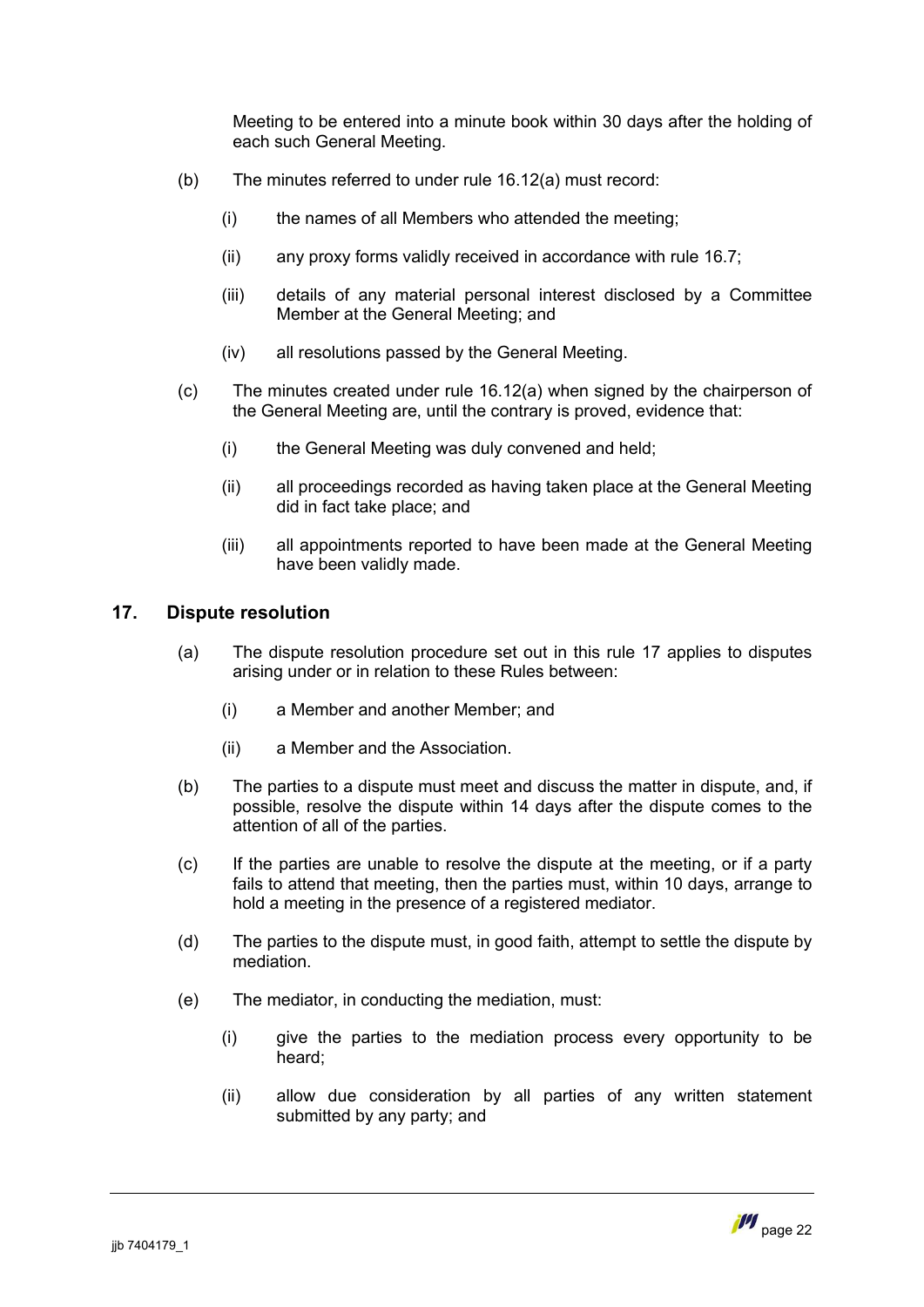Meeting to be entered into a minute book within 30 days after the holding of each such General Meeting.

- (b) The minutes referred to under rule [16.12\(a\)](#page-23-1) must record:
	- (i) the names of all Members who attended the meeting;
	- (ii) any proxy forms validly received in accordance with rule [16.7](#page-21-2);
	- (iii) details of any material personal interest disclosed by a Committee Member at the General Meeting; and
	- (iv) all resolutions passed by the General Meeting.
- (c) The minutes created under rule [16.12\(a\)](#page-23-1) when signed by the chairperson of the General Meeting are, until the contrary is proved, evidence that:
	- (i) the General Meeting was duly convened and held;
	- (ii) all proceedings recorded as having taken place at the General Meeting did in fact take place; and
	- (iii) all appointments reported to have been made at the General Meeting have been validly made.

# **17. Dispute resolution**

- <span id="page-23-0"></span>(a) The dispute resolution procedure set out in this rule [17](#page-23-0) applies to disputes arising under or in relation to these Rules between:
	- (i) a Member and another Member; and
	- (ii) a Member and the Association.
- (b) The parties to a dispute must meet and discuss the matter in dispute, and, if possible, resolve the dispute within 14 days after the dispute comes to the attention of all of the parties.
- (c) If the parties are unable to resolve the dispute at the meeting, or if a party fails to attend that meeting, then the parties must, within 10 days, arrange to hold a meeting in the presence of a registered mediator.
- (d) The parties to the dispute must, in good faith, attempt to settle the dispute by mediation.
- <span id="page-23-1"></span>(e) The mediator, in conducting the mediation, must:
	- (i) give the parties to the mediation process every opportunity to be heard;
	- (ii) allow due consideration by all parties of any written statement submitted by any party; and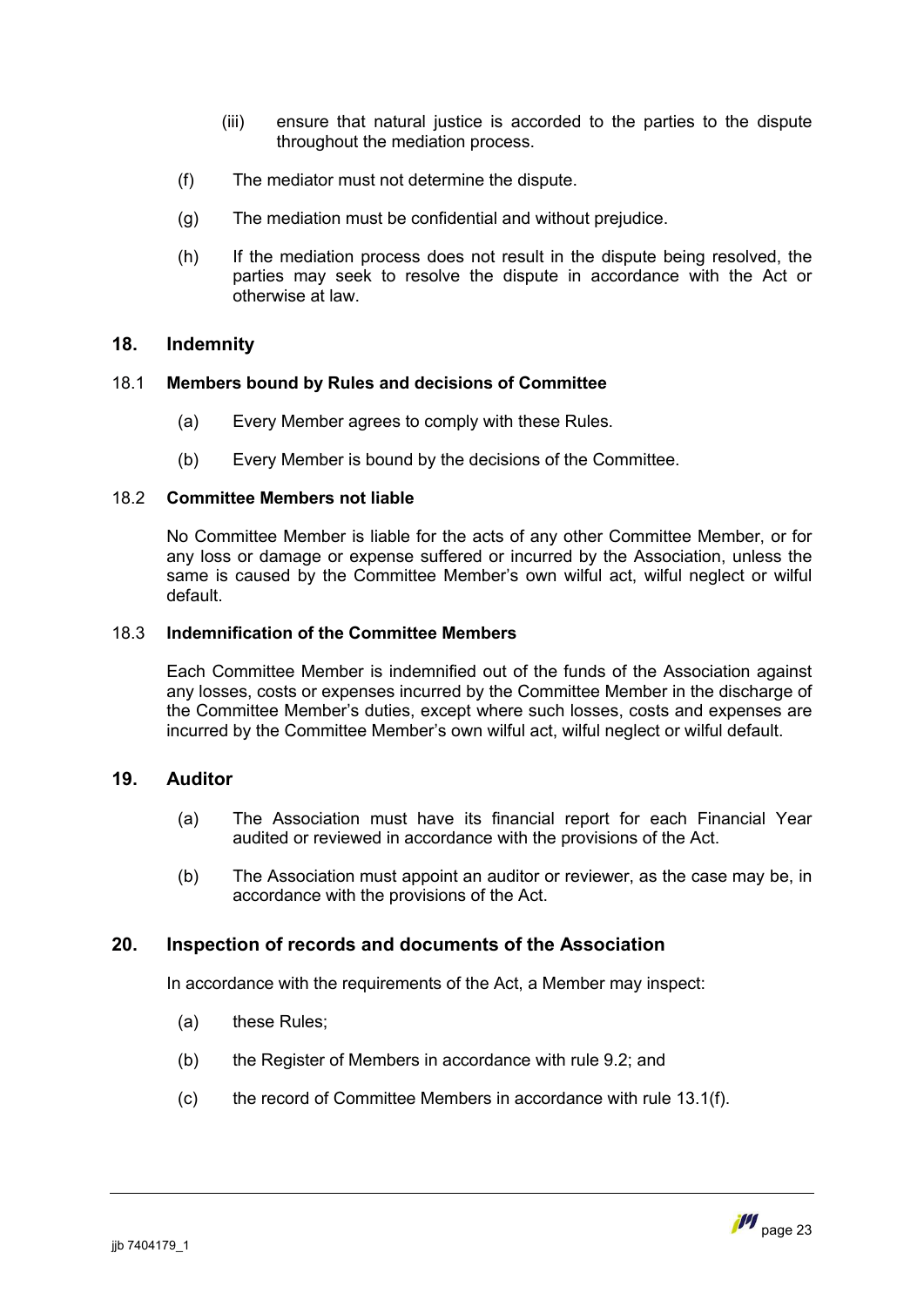- (iii) ensure that natural justice is accorded to the parties to the dispute throughout the mediation process.
- (f) The mediator must not determine the dispute.
- (g) The mediation must be confidential and without prejudice.
- (h) If the mediation process does not result in the dispute being resolved, the parties may seek to resolve the dispute in accordance with the Act or otherwise at law.

# <span id="page-24-0"></span>**18. Indemnity**

# 18.1 **Members bound by Rules and decisions of Committee**

- (a) Every Member agrees to comply with these Rules.
- (b) Every Member is bound by the decisions of the Committee.

#### 18.2 **Committee Members not liable**

No Committee Member is liable for the acts of any other Committee Member, or for any loss or damage or expense suffered or incurred by the Association, unless the same is caused by the Committee Member's own wilful act, wilful neglect or wilful default.

#### 18.3 **Indemnification of the Committee Members**

Each Committee Member is indemnified out of the funds of the Association against any losses, costs or expenses incurred by the Committee Member in the discharge of the Committee Member's duties, except where such losses, costs and expenses are incurred by the Committee Member's own wilful act, wilful neglect or wilful default.

# **19. Auditor**

- <span id="page-24-1"></span>(a) The Association must have its financial report for each Financial Year audited or reviewed in accordance with the provisions of the Act.
- (b) The Association must appoint an auditor or reviewer, as the case may be, in accordance with the provisions of the Act.

# **20. Inspection of records and documents of the Association**

<span id="page-24-2"></span>In accordance with the requirements of the Act, a Member may inspect:

- (a) these Rules;
- (b) the Register of Members in accordance with rule [9.2](#page-10-4); and
- (c) the record of Committee Members in accordance with rule [13.1\(f\)](#page-15-1).

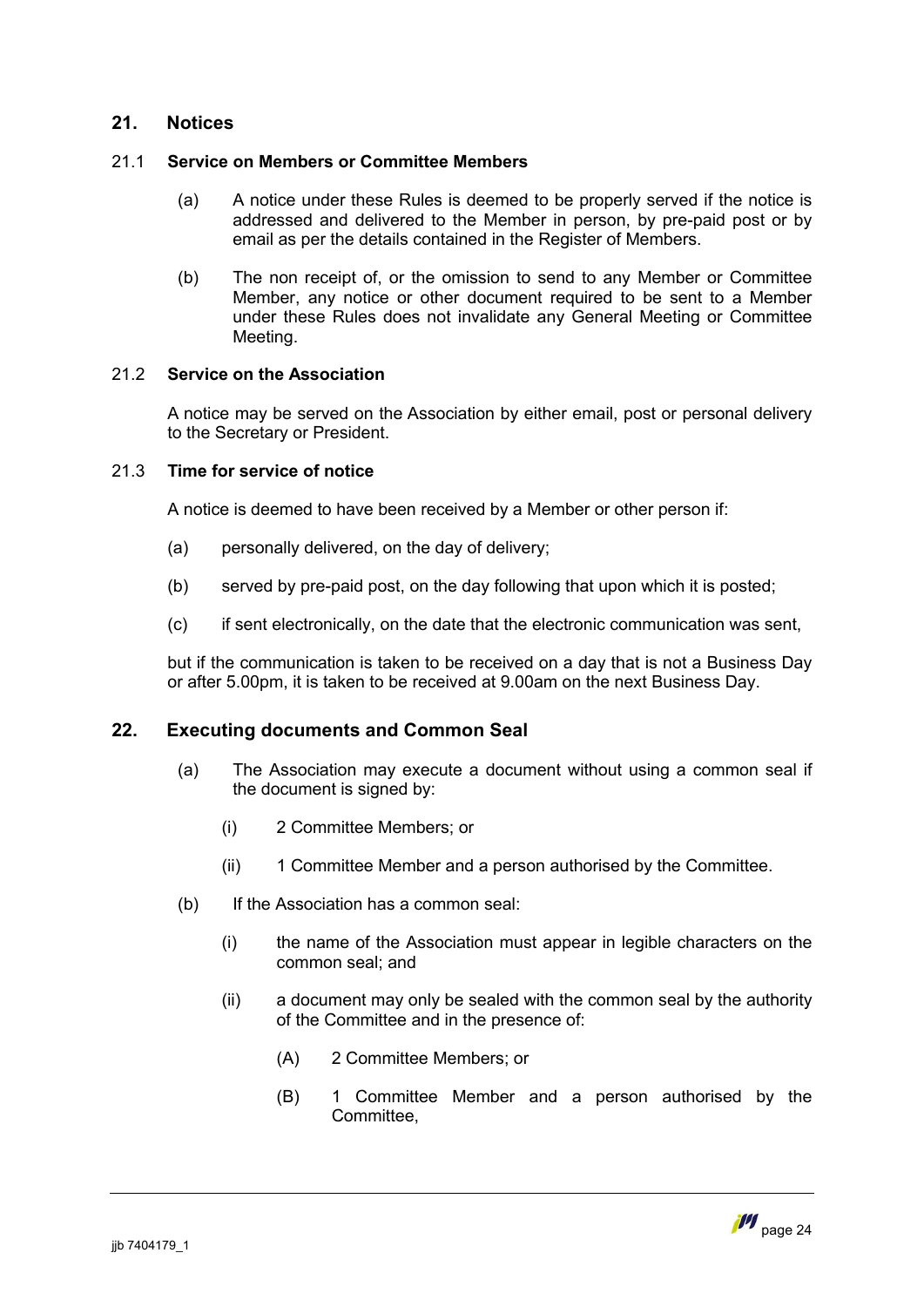# <span id="page-25-0"></span>**21. Notices**

# 21.1 **Service on Members or Committee Members**

- (a) A notice under these Rules is deemed to be properly served if the notice is addressed and delivered to the Member in person, by pre-paid post or by email as per the details contained in the Register of Members.
- (b) The non receipt of, or the omission to send to any Member or Committee Member, any notice or other document required to be sent to a Member under these Rules does not invalidate any General Meeting or Committee Meeting.

# 21.2 **Service on the Association**

A notice may be served on the Association by either email, post or personal delivery to the Secretary or President.

#### 21.3 **Time for service of notice**

A notice is deemed to have been received by a Member or other person if:

- (a) personally delivered, on the day of delivery;
- (b) served by pre-paid post, on the day following that upon which it is posted;
- (c) if sent electronically, on the date that the electronic communication was sent,

but if the communication is taken to be received on a day that is not a Business Day or after 5.00pm, it is taken to be received at 9.00am on the next Business Day.

# **22. Executing documents and Common Seal**

- <span id="page-25-1"></span>(a) The Association may execute a document without using a common seal if the document is signed by:
	- (i) 2 Committee Members; or
	- (ii) 1 Committee Member and a person authorised by the Committee.
- (b) If the Association has a common seal:
	- (i) the name of the Association must appear in legible characters on the common seal; and
	- (ii) a document may only be sealed with the common seal by the authority of the Committee and in the presence of:
		- (A) 2 Committee Members; or
		- (B) 1 Committee Member and a person authorised by the **Committee**